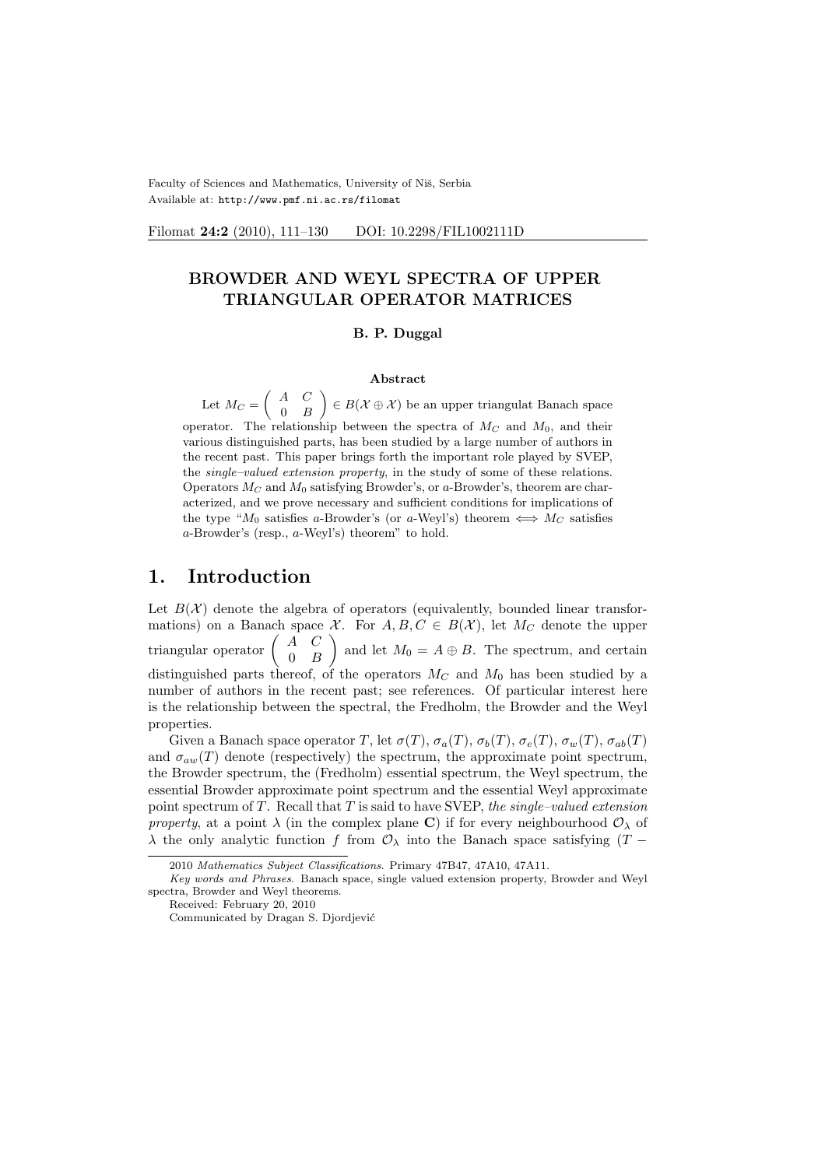Faculty of Sciences and Mathematics, University of Niš, Serbia Available at: http://www.pmf.ni.ac.rs/filomat

Filomat 24:2 (2010), 111-130 DOI: 10.2298/FIL1002111D

 $\mathbf{r}$ 

# BROWDER AND WEYL SPECTRA OF UPPER TRIANGULAR OPERATOR MATRICES

#### B. P. Duggal

#### Abstract

Let  $M_C =$  $\begin{pmatrix} A & C \end{pmatrix}$  $0 \quad B$  $\in B(\mathcal{X} \oplus \mathcal{X})$  be an upper triangulat Banach space operator. The relationship between the spectra of  $M_C$  and  $M_0$ , and their various distinguished parts, has been studied by a large number of authors in the recent past. This paper brings forth the important role played by SVEP, the single–valued extension property, in the study of some of these relations. Operators  $M_C$  and  $M_0$  satisfying Browder's, or a-Browder's, theorem are characterized, and we prove necessary and sufficient conditions for implications of the type "M<sub>0</sub> satisfies a-Browder's (or a-Weyl's) theorem  $\iff M_C$  satisfies a-Browder's (resp., a-Weyl's) theorem" to hold.

# 1. Introduction

Let  $B(\mathcal{X})$  denote the algebra of operators (equivalently, bounded linear transformations) on a Banach space  $\mathcal{X}$ . For  $A, B, C \in B(\mathcal{X})$ , let  $M_C$  denote the upper mations) on a Banach space<br>triangular operator  $\begin{pmatrix} A & C \\ 0 & B \end{pmatrix}$  $\begin{pmatrix} 1 & 0 \\ 0 & B \end{pmatrix}$  and let  $M_0 = A \oplus B$ . The spectrum, and certain distinguished parts thereof, of the operators  $M_C$  and  $M_0$  has been studied by a number of authors in the recent past; see references. Of particular interest here is the relationship between the spectral, the Fredholm, the Browder and the Weyl properties.

Given a Banach space operator T, let  $\sigma(T)$ ,  $\sigma_a(T)$ ,  $\sigma_b(T)$ ,  $\sigma_e(T)$ ,  $\sigma_w(T)$ ,  $\sigma_{ab}(T)$ and  $\sigma_{aw}(T)$  denote (respectively) the spectrum, the approximate point spectrum, the Browder spectrum, the (Fredholm) essential spectrum, the Weyl spectrum, the essential Browder approximate point spectrum and the essential Weyl approximate point spectrum of  $T$ . Recall that  $T$  is said to have SVEP, the single–valued extension property, at a point  $\lambda$  (in the complex plane C) if for every neighbourhood  $\mathcal{O}_{\lambda}$  of  $\lambda$  the only analytic function f from  $\mathcal{O}_{\lambda}$  into the Banach space satisfying (T −

<sup>2010</sup> Mathematics Subject Classifications. Primary 47B47, 47A10, 47A11.

Key words and Phrases. Banach space, single valued extension property, Browder and Weyl spectra, Browder and Weyl theorems.

Received: February 20, 2010

Communicated by Dragan S. Djordjević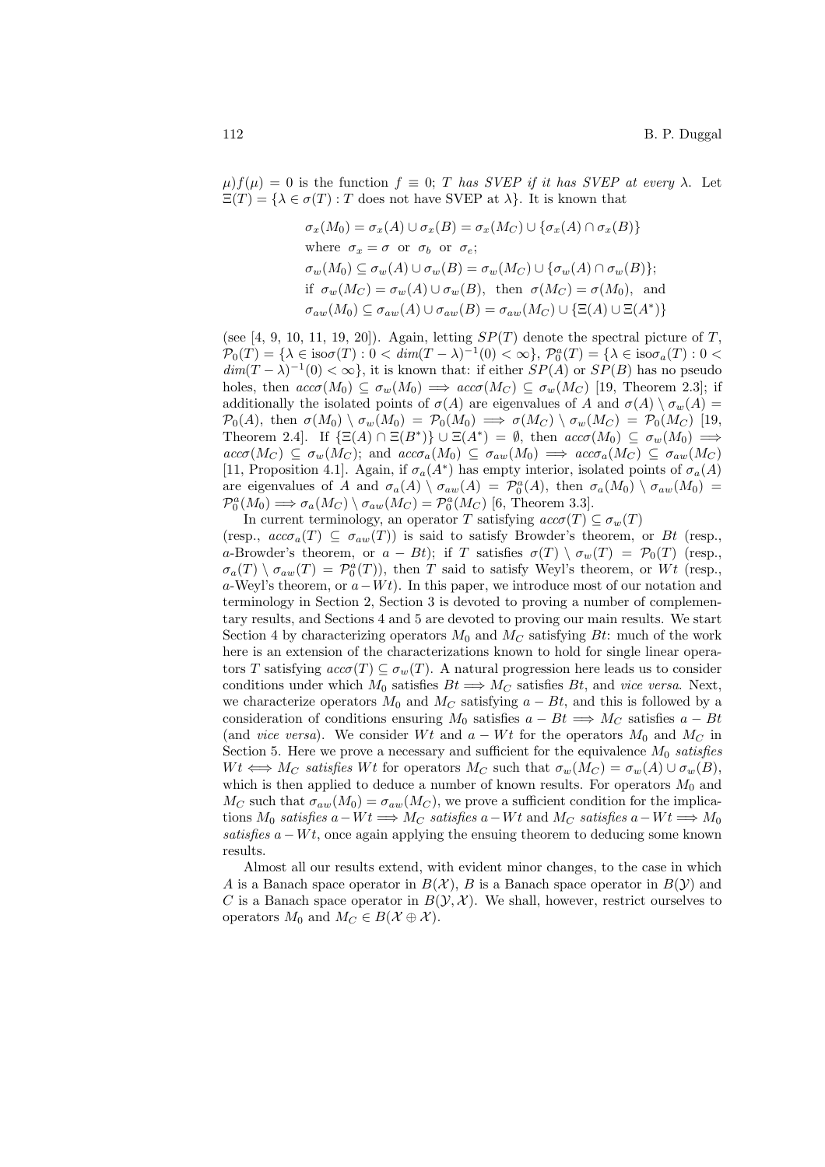$\mu$ ) $f(\mu) = 0$  is the function  $f \equiv 0$ ; T has SVEP if it has SVEP at every  $\lambda$ . Let  $\Xi(T) = {\lambda \in \sigma(T) : T \text{ does not have SVEP at } \lambda}.$  It is known that

$$
\sigma_x(M_0) = \sigma_x(A) \cup \sigma_x(B) = \sigma_x(M_C) \cup \{\sigma_x(A) \cap \sigma_x(B)\}
$$
  
where  $\sigma_x = \sigma$  or  $\sigma_b$  or  $\sigma_e$ ;  
 $\sigma_w(M_0) \subseteq \sigma_w(A) \cup \sigma_w(B) = \sigma_w(M_C) \cup \{\sigma_w(A) \cap \sigma_w(B)\};$   
if  $\sigma_w(M_C) = \sigma_w(A) \cup \sigma_w(B)$ , then  $\sigma(M_C) = \sigma(M_0)$ , and  
 $\sigma_{aw}(M_0) \subseteq \sigma_{aw}(A) \cup \sigma_{aw}(B) = \sigma_{aw}(M_C) \cup \{\Xi(A) \cup \Xi(A^*)\}$ 

(see [4, 9, 10, 11, 19, 20]). Again, letting  $SP(T)$  denote the spectral picture of T,  $\mathcal{P}_0(T) = \{\lambda \in \text{iso}\sigma(T) : 0 < \dim(T - \lambda)^{-1}(0) < \infty\}, \ \mathcal{P}_0^a(T) = \{\lambda \in \text{iso}\sigma_a(T) : 0 < \infty\}$  $dim(T - \lambda)^{-1}(0) < \infty$ , it is known that: if either  $SP(A)$  or  $SP(B)$  has no pseudo holes, then  $acc\sigma(M_0) \subseteq \sigma_w(M_0) \implies acc\sigma(M_C) \subseteq \sigma_w(M_C)$  [19, Theorem 2.3]; if additionally the isolated points of  $\sigma(A)$  are eigenvalues of A and  $\sigma(A) \setminus \sigma_w(A) =$  $\mathcal{P}_0(A)$ , then  $\sigma(M_0) \setminus \sigma_w(M_0) = \mathcal{P}_0(M_0) \implies \sigma(M_C) \setminus \sigma_w(M_C) = \mathcal{P}_0(M_C)$  [19, Theorem 2.4. If  $\{\Xi(A) \cap \Xi(B^*)\} \cup \Xi(A^*) = \emptyset$ , then  $acc\sigma(M_0) \subseteq \sigma_w(M_0) \implies$  $acc\sigma(M_C) \subseteq \sigma_w(M_C)$ ; and  $acc\sigma_a(M_0) \subseteq \sigma_{aw}(M_0) \implies acc\sigma_a(M_C) \subseteq \sigma_{aw}(M_C)$ [11, Proposition 4.1]. Again, if  $\sigma_a(A^*)$  has empty interior, isolated points of  $\sigma_a(A)$ are eigenvalues of A and  $\sigma_a(A) \setminus \sigma_{aw}(A) = \mathcal{P}_0^a(A)$ , then  $\sigma_a(M_0) \setminus \sigma_{aw}(M_0) =$  $\mathcal{P}_0^a(M_0) \Longrightarrow \sigma_a(M_C) \setminus \sigma_{aw}(M_C) = \mathcal{P}_0^a(M_C)$  [6, Theorem 3.3].

In current terminology, an operator T satisfying  $acc\sigma(T) \subseteq \sigma_w(T)$ (resp.,  $acc\sigma_a(T) \subseteq \sigma_{aw}(T)$ ) is said to satisfy Browder's theorem, or Bt (resp., a-Browder's theorem, or  $a - Bt$ ); if T satisfies  $\sigma(T) \setminus \sigma_w(T) = \mathcal{P}_0(T)$  (resp.,  $\sigma_a(T) \setminus \sigma_{aw}(T) = \mathcal{P}_0^a(T)$ , then T said to satisfy Weyl's theorem, or Wt (resp., a-Weyl's theorem, or  $a-Wt$ ). In this paper, we introduce most of our notation and terminology in Section 2, Section 3 is devoted to proving a number of complementary results, and Sections 4 and 5 are devoted to proving our main results. We start Section 4 by characterizing operators  $M_0$  and  $M_C$  satisfying Bt: much of the work here is an extension of the characterizations known to hold for single linear operators T satisfying  $acc\sigma(T) \subseteq \sigma_w(T)$ . A natural progression here leads us to consider conditions under which  $M_0$  satisfies  $B_t \Longrightarrow M_C$  satisfies  $B_t$ , and vice versa. Next, we characterize operators  $M_0$  and  $M_C$  satisfying  $a - Bt$ , and this is followed by a consideration of conditions ensuring  $M_0$  satisfies  $a - Bt \implies M_C$  satisfies  $a - Bt$ (and *vice versa*). We consider Wt and  $a - Wt$  for the operators  $M_0$  and  $M_C$  in Section 5. Here we prove a necessary and sufficient for the equivalence  $M_0$  satisfies  $Wt \iff M_C$  satisfies Wt for operators  $M_C$  such that  $\sigma_w(M_C) = \sigma_w(A) \cup \sigma_w(B)$ , which is then applied to deduce a number of known results. For operators  $M_0$  and  $M_C$  such that  $\sigma_{aw}(M_0) = \sigma_{aw}(M_C)$ , we prove a sufficient condition for the implications  $M_0$  satisfies  $a-Wt \Longrightarrow M_C$  satisfies  $a-Wt$  and  $M_C$  satisfies  $a-Wt \Longrightarrow M_0$ satisfies  $a - Wt$ , once again applying the ensuing theorem to deducing some known results.

Almost all our results extend, with evident minor changes, to the case in which A is a Banach space operator in  $B(\mathcal{X})$ , B is a Banach space operator in  $B(\mathcal{Y})$  and C is a Banach space operator in  $B(\mathcal{Y}, \mathcal{X})$ . We shall, however, restrict ourselves to operators  $M_0$  and  $M_C \in B(\mathcal{X} \oplus \mathcal{X})$ .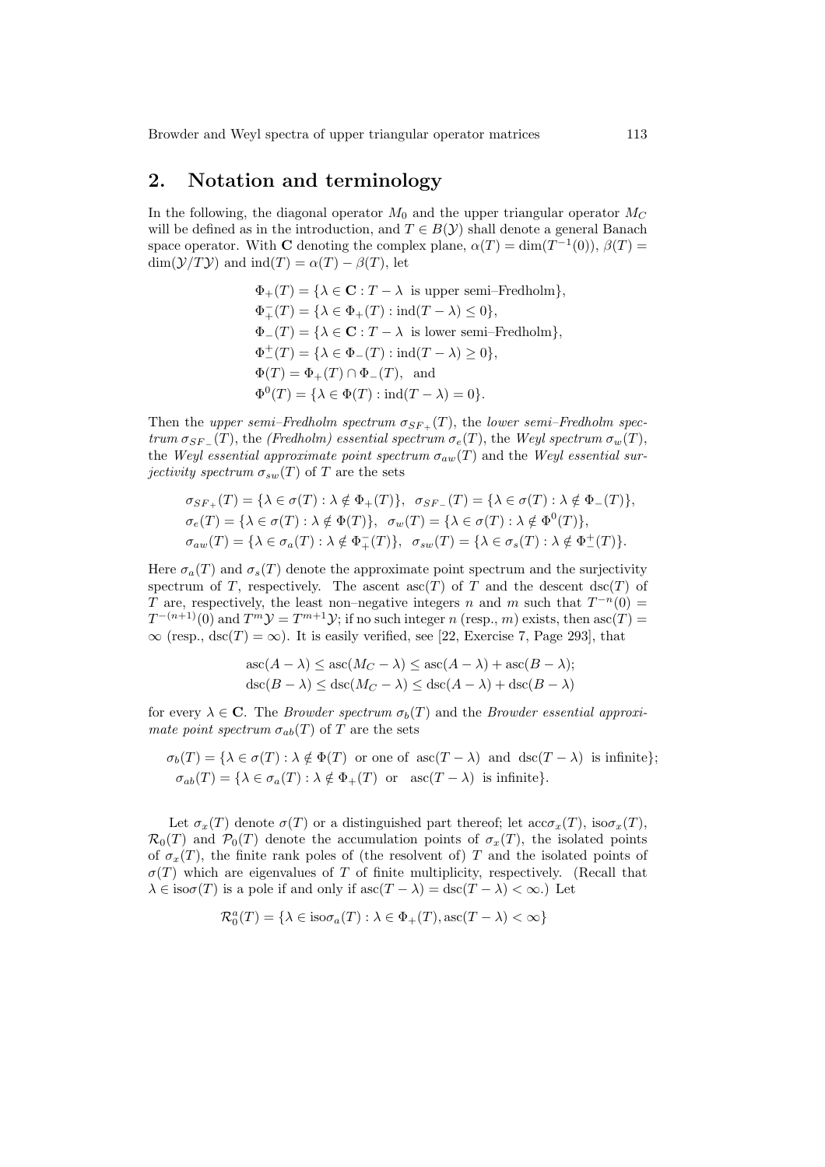# 2. Notation and terminology

In the following, the diagonal operator  $M_0$  and the upper triangular operator  $M_C$ will be defined as in the introduction, and  $T \in B(\mathcal{Y})$  shall denote a general Banach space operator. With **C** denoting the complex plane,  $\alpha(T) = \dim(T^{-1}(0)), \beta(T) =$  $\dim(\mathcal{Y}/T\mathcal{Y})$  and  $\mathrm{ind}(T) = \alpha(T) - \beta(T)$ , let

> $\Phi_+(T) = {\lambda \in \mathbf{C} : T - \lambda \text{ is upper semi-Fredholm}},$  $\Phi_+^-(T) = \{ \lambda \in \Phi_+(T) : \text{ind}(T - \lambda) \leq 0 \},$  $\Phi_{-}(T) = {\lambda \in \mathbf{C} : T - \lambda \text{ is lower semi-Fredholm}},$  $\Phi_{-}^{+}(T) = \{\lambda \in \Phi_{-}(T) : \text{ind}(T - \lambda) \geq 0\},\,$  $\Phi(T) = \Phi_+(T) \cap \Phi_-(T)$ , and  $\Phi^0(T) = {\lambda \in \Phi(T) : \text{ind}(T - \lambda) = 0}.$

Then the upper semi–Fredholm spectrum  $\sigma_{SF_+}(T)$ , the lower semi–Fredholm spectrum  $\sigma_{SF}$  (T), the (Fredholm) essential spectrum  $\sigma_e(T)$ , the Weyl spectrum  $\sigma_w(T)$ , the Weyl essential approximate point spectrum  $\sigma_{aw}(T)$  and the Weyl essential surjectivity spectrum  $\sigma_{sw}(T)$  of T are the sets

$$
\sigma_{SF_{+}}(T) = \{\lambda \in \sigma(T) : \lambda \notin \Phi_{+}(T)\}, \quad \sigma_{SF_{-}}(T) = \{\lambda \in \sigma(T) : \lambda \notin \Phi_{-}(T)\},
$$
  

$$
\sigma_{e}(T) = \{\lambda \in \sigma(T) : \lambda \notin \Phi(T)\}, \quad \sigma_{w}(T) = \{\lambda \in \sigma(T) : \lambda \notin \Phi^{0}(T)\},
$$
  

$$
\sigma_{aw}(T) = \{\lambda \in \sigma_{a}(T) : \lambda \notin \Phi_{+}^{-}(T)\}, \quad \sigma_{sw}(T) = \{\lambda \in \sigma_{s}(T) : \lambda \notin \Phi_{-}^{+}(T)\}.
$$

Here  $\sigma_a(T)$  and  $\sigma_s(T)$  denote the approximate point spectrum and the surjectivity spectrum of T, respectively. The ascent  $asc(T)$  of T and the descent  $dsc(T)$  of T are, respectively, the least non–negative integers n and m such that  $T^{-n}(0)$  =  $T^{-(n+1)}(0)$  and  $T^m \mathcal{Y} = T^{m+1} \mathcal{Y}$ ; if no such integer n (resp., m) exists, then asc $(T) =$  $\infty$  (resp., dsc(T) =  $\infty$ ). It is easily verified, see [22, Exercise 7, Page 293], that

$$
asc(A - \lambda) \leq asc(M_C - \lambda) \leq asc(A - \lambda) + asc(B - \lambda);
$$
  

$$
dsc(B - \lambda) \leq dsc(M_C - \lambda) \leq dsc(A - \lambda) + dsc(B - \lambda)
$$

for every  $\lambda \in \mathbb{C}$ . The *Browder spectrum*  $\sigma_b(T)$  and the *Browder essential approxi*mate point spectrum  $\sigma_{ab}(T)$  of T are the sets

$$
\sigma_b(T) = \{\lambda \in \sigma(T) : \lambda \notin \Phi(T) \text{ or one of } \mathrm{asc}(T - \lambda) \text{ and } \mathrm{dsc}(T - \lambda) \text{ is infinite}\};
$$
  

$$
\sigma_{ab}(T) = \{\lambda \in \sigma_a(T) : \lambda \notin \Phi_+(T) \text{ or } \mathrm{asc}(T - \lambda) \text{ is infinite}\}.
$$

Let  $\sigma_x(T)$  denote  $\sigma(T)$  or a distinguished part thereof; let  $\mathrm{acc}_{x}(T)$ , iso $\sigma_x(T)$ ,  $\mathcal{R}_0(T)$  and  $\mathcal{P}_0(T)$  denote the accumulation points of  $\sigma_x(T)$ , the isolated points of  $\sigma_x(T)$ , the finite rank poles of (the resolvent of) T and the isolated points of  $\sigma(T)$  which are eigenvalues of T of finite multiplicity, respectively. (Recall that  $\lambda \in iso\sigma(T)$  is a pole if and only if  $asc(T - \lambda) = dsc(T - \lambda) < \infty$ .) Let

$$
\mathcal{R}_0^a(T) = \{ \lambda \in \text{iso}\sigma_a(T) : \lambda \in \Phi_+(T), \text{asc}(T - \lambda) < \infty \}
$$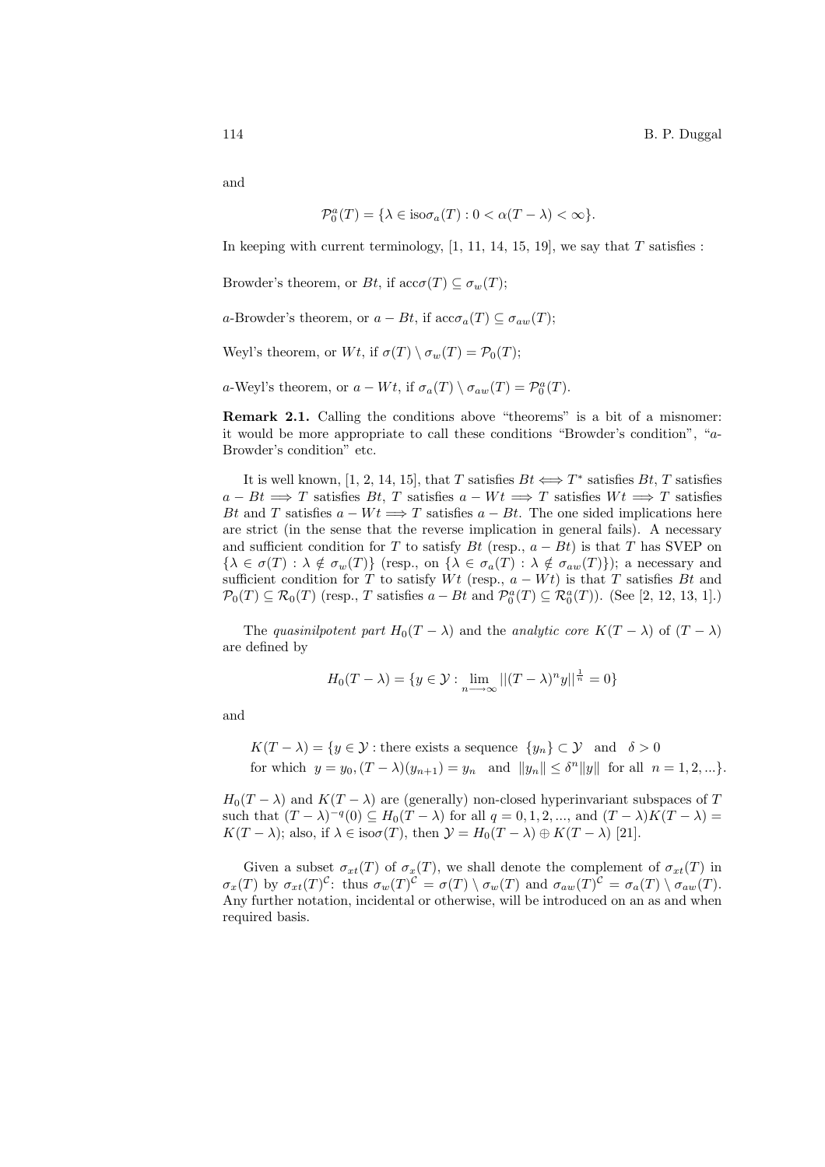and

$$
\mathcal{P}_0^a(T) = \{ \lambda \in \text{iso}\sigma_a(T) : 0 < \alpha(T - \lambda) < \infty \}.
$$

In keeping with current terminology,  $[1, 11, 14, 15, 19]$ , we say that T satisfies :

Browder's theorem, or Bt, if  $\mathrm{acc}\sigma(T) \subseteq \sigma_w(T)$ ;

a-Browder's theorem, or  $a - Bt$ , if  $\operatorname{acc}\sigma_a(T) \subseteq \sigma_{aw}(T)$ ;

Weyl's theorem, or  $Wt$ , if  $\sigma(T) \setminus \sigma_w(T) = \mathcal{P}_0(T);$ 

a-Weyl's theorem, or  $a - Wt$ , if  $\sigma_a(T) \setminus \sigma_{aw}(T) = \mathcal{P}_0^a(T)$ .

Remark 2.1. Calling the conditions above "theorems" is a bit of a misnomer: it would be more appropriate to call these conditions "Browder's condition", "a-Browder's condition" etc.

It is well known, [1, 2, 14, 15], that T satisfies  $Bt \Leftrightarrow T^*$  satisfies  $Bt$ , T satisfies  $a - Bt \implies T$  satisfies Bt, T satisfies  $a - Wt \implies T$  satisfies  $Wt \implies T$  satisfies Bt and T satisfies  $a - Wt \Longrightarrow T$  satisfies  $a - Bt$ . The one sided implications here are strict (in the sense that the reverse implication in general fails). A necessary and sufficient condition for T to satisfy Bt (resp.,  $a - Bt$ ) is that T has SVEP on  $\{\lambda \in \sigma(T) : \lambda \notin \sigma_w(T)\}\$  (resp., on  $\{\lambda \in \sigma_a(T) : \lambda \notin \sigma_{aw}(T)\}\)$ ; a necessary and sufficient condition for T to satisfy  $Wt$  (resp.,  $a - Wt$ ) is that T satisfies Bt and  $\mathcal{P}_0(T) \subseteq \mathcal{R}_0(T)$  (resp., T satisfies  $a - Bt$  and  $\mathcal{P}_0^a(T) \subseteq \mathcal{R}_0^a(T)$ ). (See [2, 12, 13, 1].)

The quasinilpotent part  $H_0(T - \lambda)$  and the analytic core  $K(T - \lambda)$  of  $(T - \lambda)$ are defined by

$$
H_0(T - \lambda) = \{ y \in \mathcal{Y} : \lim_{n \to \infty} ||(T - \lambda)^n y||^{\frac{1}{n}} = 0 \}
$$

and

$$
K(T - \lambda) = \{ y \in \mathcal{Y} : \text{there exists a sequence } \{y_n\} \subset \mathcal{Y} \text{ and } \delta > 0 \}
$$
  
for which  $y = y_0, (T - \lambda)(y_{n+1}) = y_n$  and  $||y_n|| \le \delta^n ||y||$  for all  $n = 1, 2, ... \}.$ 

 $H_0(T - \lambda)$  and  $K(T - \lambda)$  are (generally) non-closed hyperinvariant subspaces of T such that  $(T - \lambda)^{-q}(0) \subseteq H_0(T - \lambda)$  for all  $q = 0, 1, 2, ...,$  and  $(T - \lambda)K(T - \lambda) =$  $K(T - \lambda)$ ; also, if  $\lambda \in iso\sigma(T)$ , then  $\mathcal{Y} = H_0(T - \lambda) \oplus K(T - \lambda)$  [21].

Given a subset  $\sigma_{xt}(T)$  of  $\sigma_x(T)$ , we shall denote the complement of  $\sigma_{xt}(T)$  in  $\sigma_x(T)$  by  $\sigma_{xt}(T)^{C}$ : thus  $\sigma_w(T)^{C} = \sigma(T) \setminus \sigma_w(T)$  and  $\sigma_{aw}(T)^{C} = \sigma_a(T) \setminus \sigma_{aw}(T)$ . Any further notation, incidental or otherwise, will be introduced on an as and when required basis.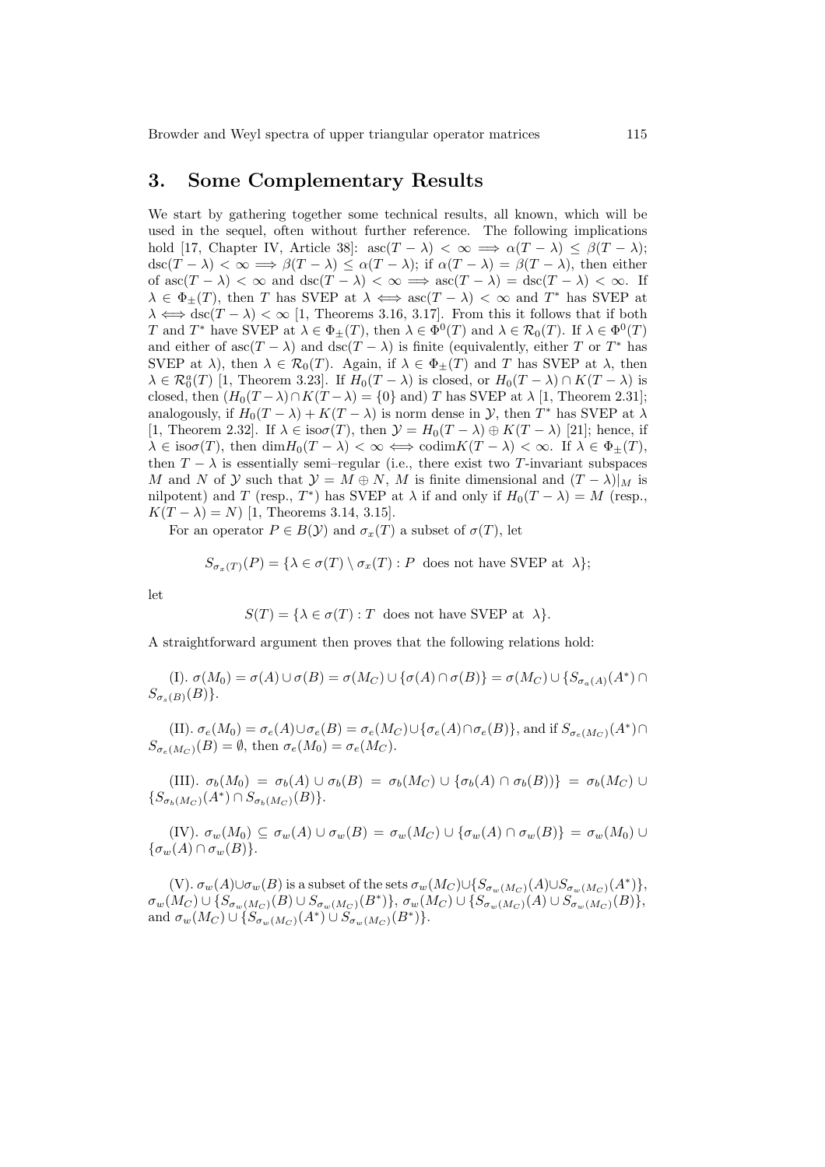#### 3. Some Complementary Results

We start by gathering together some technical results, all known, which will be used in the sequel, often without further reference. The following implications hold [17, Chapter IV, Article 38]:  $asc(T - \lambda) < \infty \implies \alpha(T - \lambda) \leq \beta(T - \lambda);$  $\operatorname{dsc}(T - \lambda) < \infty \Longrightarrow \beta(T - \lambda) \leq \alpha(T - \lambda);$  if  $\alpha(T - \lambda) = \beta(T - \lambda)$ , then either of  $asc(T - \lambda) < \infty$  and  $dsc(T - \lambda) < \infty \implies asc(T - \lambda) = dsc(T - \lambda) < \infty$ . If  $\lambda \in \Phi_{\pm}(T)$ , then T has SVEP at  $\lambda \iff \text{asc}(T - \lambda) < \infty$  and T<sup>\*</sup> has SVEP at  $\lambda \Longleftrightarrow \text{dsc}(T - \lambda) < \infty$  [1, Theorems 3.16, 3.17]. From this it follows that if both T and T<sup>\*</sup> have SVEP at  $\lambda \in \Phi_{\pm}(T)$ , then  $\lambda \in \Phi^0(T)$  and  $\lambda \in \mathcal{R}_0(T)$ . If  $\lambda \in \Phi^0(T)$ and either of asc $(T - \lambda)$  and dsc $(T - \lambda)$  is finite (equivalently, either T or T<sup>\*</sup> has SVEP at  $\lambda$ ), then  $\lambda \in \mathcal{R}_0(T)$ . Again, if  $\lambda \in \Phi_{\pm}(T)$  and T has SVEP at  $\lambda$ , then  $\lambda \in \mathcal{R}_0^a(T)$  [1, Theorem 3.23]. If  $H_0(T - \lambda)$  is closed, or  $H_0(T - \lambda) \cap K(T - \lambda)$  is closed, then  $(H_0(T - \lambda) \cap K(T - \lambda) = \{0\}$  and) T has SVEP at  $\lambda$  [1, Theorem 2.31]; analogously, if  $H_0(T - \lambda) + K(T - \lambda)$  is norm dense in  $\mathcal{Y}$ , then  $T^*$  has SVEP at  $\lambda$ [1, Theorem 2.32]. If  $\lambda \in iso\sigma(T)$ , then  $\mathcal{Y} = H_0(T - \lambda) \oplus K(T - \lambda)$  [21]; hence, if  $\lambda \in \text{iso}\sigma(T)$ , then  $\dim H_0(T - \lambda) < \infty \iff \text{codim}K(T - \lambda) < \infty$ . If  $\lambda \in \Phi_{\pm}(T)$ , then  $T - \lambda$  is essentially semi–regular (i.e., there exist two T-invariant subspaces M and N of Y such that  $\mathcal{Y} = M \oplus N$ , M is finite dimensional and  $(T - \lambda)|_M$  is nilpotent) and T (resp., T<sup>\*</sup>) has SVEP at  $\lambda$  if and only if  $H_0(T - \lambda) = M$  (resp.,  $K(T - \lambda) = N$  [1, Theorems 3.14, 3.15].

For an operator  $P \in B(\mathcal{Y})$  and  $\sigma_x(T)$  a subset of  $\sigma(T)$ , let

$$
S_{\sigma_x(T)}(P) = \{ \lambda \in \sigma(T) \setminus \sigma_x(T) : P \text{ does not have SVEP at } \lambda \};
$$

let

$$
S(T) = \{ \lambda \in \sigma(T) : T \text{ does not have SVEP at } \lambda \}.
$$

A straightforward argument then proves that the following relations hold:

(I).  $\sigma(M_0) = \sigma(A) \cup \sigma(B) = \sigma(M_C) \cup {\sigma(A) \cap \sigma(B)} = \sigma(M_C) \cup {S_{\sigma_a(A)}(A^*) \cap S_{\sigma(a)}(A^*)}$  $S_{\sigma_s(B)}(B)$ .

(II).  $\sigma_e(M_0) = \sigma_e(A) \cup \sigma_e(B) = \sigma_e(M_C) \cup {\sigma_e(A) \cap \sigma_e(B)}$ , and if  $S_{\sigma_e(M_C)}(A^*) \cap$  $S_{\sigma_e(M_C)}(B) = \emptyset$ , then  $\sigma_e(M_0) = \sigma_e(M_C)$ .

(III).  $\sigma_b(M_0) = \sigma_b(A) \cup \sigma_b(B) = \sigma_b(M_C) \cup {\sigma_b(A) \cap \sigma_b(B)} = \sigma_b(M_C) \cup$  $\{S_{\sigma_b(M_C)}(A^*) \cap S_{\sigma_b(M_C)}(B)\}.$ 

(IV).  $\sigma_w(M_0) \subseteq \sigma_w(A) \cup \sigma_w(B) = \sigma_w(M_C) \cup {\sigma_w(A) \cap \sigma_w(B)} = \sigma_w(M_0) \cup$  ${\sigma_w(A) \cap \sigma_w(B)}.$ 

(V).  $\sigma_w(A) \cup \sigma_w(B)$  is a subset of the sets  $\sigma_w(M_C) \cup \{S_{\sigma_w(M_C)}(A) \cup S_{\sigma_w(M_C)}(A^*)\},$  $\sigma_w(M_C) \cup \{S_{\sigma_w(M_C)}(B) \cup S_{\sigma_w(M_C)}(B^*)\}, \sigma_w(M_C) \cup \{S_{\sigma_w(M_C)}(A) \cup S_{\sigma_w(M_C)}(B)\},\$ and  $\sigma_w(M_C) \cup \{S_{\sigma_w(M_C)}(A^*) \cup S_{\sigma_w(M_C)}(B^*)\}.$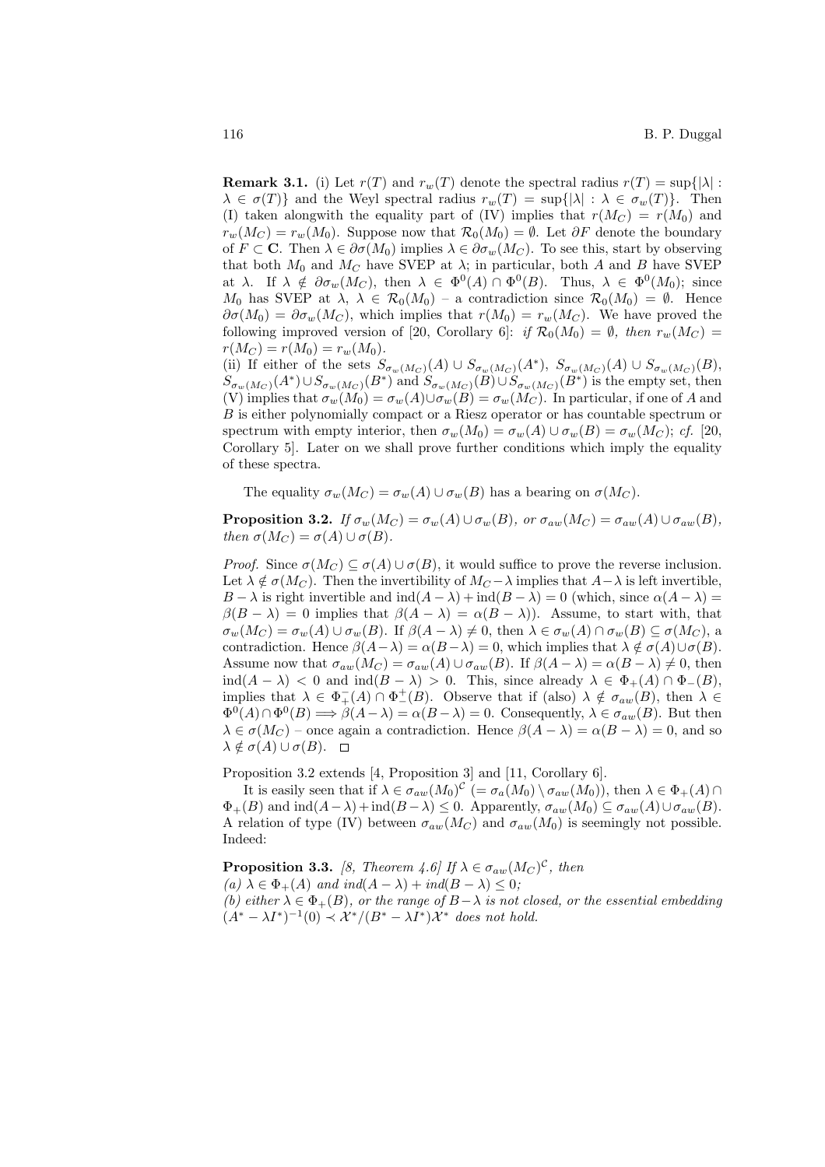**Remark 3.1.** (i) Let  $r(T)$  and  $r_w(T)$  denote the spectral radius  $r(T) = \sup\{|\lambda| :$  $\lambda \in \sigma(T)$  and the Weyl spectral radius  $r_w(T) = \sup\{|\lambda| : \lambda \in \sigma_w(T)\}\.$  Then (I) taken alongwith the equality part of (IV) implies that  $r(M_C) = r(M_0)$  and  $r_w(M_C) = r_w(M_0)$ . Suppose now that  $\mathcal{R}_0(M_0) = \emptyset$ . Let  $\partial F$  denote the boundary of  $F \subset \mathbf{C}$ . Then  $\lambda \in \partial \sigma(M_0)$  implies  $\lambda \in \partial \sigma_w(M_C)$ . To see this, start by observing that both  $M_0$  and  $M_C$  have SVEP at  $\lambda$ ; in particular, both A and B have SVEP at  $\lambda$ . If  $\lambda \notin \partial \sigma_w(M_C)$ , then  $\lambda \in \Phi^0(A) \cap \Phi^0(B)$ . Thus,  $\lambda \in \Phi^0(M_0)$ ; since  $M_0$  has SVEP at  $\lambda$ ,  $\lambda \in \mathcal{R}_0(M_0)$  – a contradiction since  $\mathcal{R}_0(M_0) = \emptyset$ . Hence  $\partial \sigma(M_0) = \partial \sigma_w(M_C)$ , which implies that  $r(M_0) = r_w(M_C)$ . We have proved the following improved version of [20, Corollary 6]: if  $\mathcal{R}_0(M_0) = \emptyset$ , then  $r_w(M_C)$  $r(M_C) = r(M_0) = r_w(M_0).$ 

(ii) If either of the sets  $S_{\sigma_w(M_C)}(A) \cup S_{\sigma_w(M_C)}(A^*)$ ,  $S_{\sigma_w(M_C)}(A) \cup S_{\sigma_w(M_C)}(B)$ ,  $S_{\sigma_w(M_C)}(A^*) \cup S_{\sigma_w(M_C)}(B^*)$  and  $S_{\sigma_w(M_C)}(B) \cup S_{\sigma_w(M_C)}(B^*)$  is the empty set, then (V) implies that  $\sigma_w(M_0) = \sigma_w(A) \cup \sigma_w(B) = \sigma_w(M_C)$ . In particular, if one of A and B is either polynomially compact or a Riesz operator or has countable spectrum or spectrum with empty interior, then  $\sigma_w(M_0) = \sigma_w(A) \cup \sigma_w(B) = \sigma_w(M_C)$ ; cf. [20, Corollary 5]. Later on we shall prove further conditions which imply the equality of these spectra.

The equality  $\sigma_w(M_C) = \sigma_w(A) \cup \sigma_w(B)$  has a bearing on  $\sigma(M_C)$ .

**Proposition 3.2.** If  $\sigma_w(M_C) = \sigma_w(A) \cup \sigma_w(B)$ , or  $\sigma_{aw}(M_C) = \sigma_{aw}(A) \cup \sigma_{aw}(B)$ , then  $\sigma(M_C) = \sigma(A) \cup \sigma(B)$ .

*Proof.* Since  $\sigma(M_C) \subseteq \sigma(A) \cup \sigma(B)$ , it would suffice to prove the reverse inclusion. Let  $\lambda \notin \sigma(M_C)$ . Then the invertibility of  $M_C - \lambda$  implies that  $A - \lambda$  is left invertible, B −  $\lambda$  is right invertible and  $\text{ind}(A - \lambda) + \text{ind}(B - \lambda) = 0$  (which, since  $\alpha(A - \lambda) =$  $\beta(B - \lambda) = 0$  implies that  $\beta(A - \lambda) = \alpha(B - \lambda)$ . Assume, to start with, that  $\sigma_w(M_C) = \sigma_w(A) \cup \sigma_w(B)$ . If  $\beta(A - \lambda) \neq 0$ , then  $\lambda \in \sigma_w(A) \cap \sigma_w(B) \subseteq \sigma(M_C)$ , a contradiction. Hence  $\beta(A-\lambda) = \alpha(B-\lambda) = 0$ , which implies that  $\lambda \notin \sigma(A) \cup \sigma(B)$ . Assume now that  $\sigma_{aw}(M_C) = \sigma_{aw}(A) \cup \sigma_{aw}(B)$ . If  $\beta(A - \lambda) = \alpha(B - \lambda) \neq 0$ , then  $\text{ind}(A - \lambda) < 0$  and  $\text{ind}(B - \lambda) > 0$ . This, since already  $\lambda \in \Phi_+(A) \cap \Phi_-(B)$ , implies that  $\lambda \in \Phi_+^-(A) \cap \Phi_-^+(B)$ . Observe that if (also)  $\lambda \notin \sigma_{aw}(B)$ , then  $\lambda \in$  $\Phi^0(A) \cap \Phi^0(B) \Longrightarrow \beta(A-\lambda) = \alpha(B-\lambda) = 0.$  Consequently,  $\lambda \in \sigma_{aw}(B)$ . But then  $\lambda \in \sigma(M_C)$  – once again a contradiction. Hence  $\beta(A - \lambda) = \alpha(B - \lambda) = 0$ , and so  $\lambda \notin \sigma(A) \cup \sigma(B)$ .  $\Box$ 

Proposition 3.2 extends [4, Proposition 3] and [11, Corollary 6].

It is easily seen that if  $\lambda \in \sigma_{aw}(M_0)^c$   $(=\sigma_a(M_0) \setminus \sigma_{aw}(M_0)),$  then  $\lambda \in \Phi_+(A)$  $\Phi_{+}(B)$  and  $\text{ind}(A-\lambda) + \text{ind}(B-\lambda) \leq 0$ . Apparently,  $\sigma_{aw}(M_0) \subseteq \sigma_{aw}(A) \cup \sigma_{aw}(B)$ . A relation of type (IV) between  $\sigma_{aw}(M_C)$  and  $\sigma_{aw}(M_0)$  is seemingly not possible. Indeed:

**Proposition 3.3.** [8, Theorem 4.6] If  $\lambda \in \sigma_{aw}(M_C)^C$ , then (a)  $\lambda \in \Phi_+(A)$  and ind( $A - \lambda$ ) + ind( $B - \lambda$ )  $\leq 0$ ; (b) either  $\lambda \in \Phi_+(B)$ , or the range of  $B-\lambda$  is not closed, or the essential embedding  $(A^* - \lambda I^*)^{-1}(0) \prec \mathcal{X}^*/(B^* - \lambda I^*)\mathcal{X}^*$  does not hold.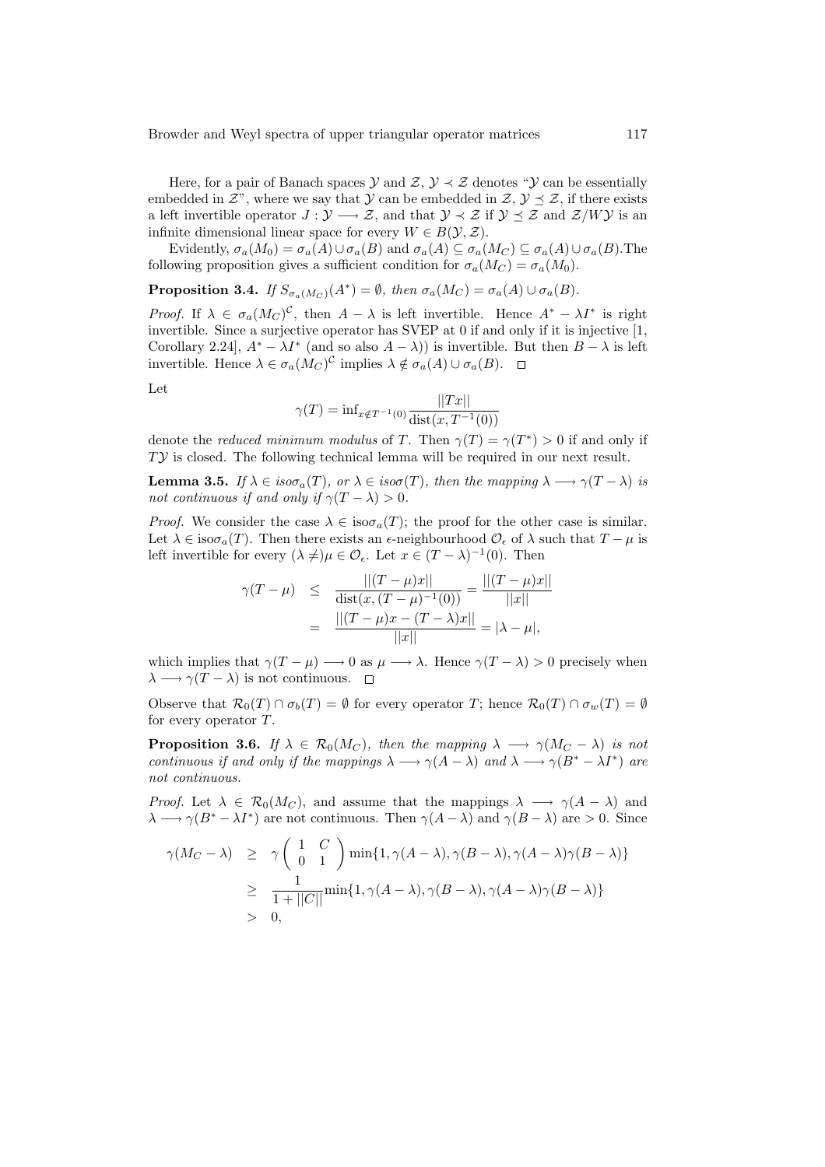Here, for a pair of Banach spaces  $\mathcal{Y}$  and  $\mathcal{Z}, \mathcal{Y} \prec \mathcal{Z}$  denotes " $\mathcal{Y}$  can be essentially embedded in  $\mathcal{Z}$ ", where we say that  $\mathcal{Y}$  can be embedded in  $\mathcal{Z}, \mathcal{Y} \preceq \mathcal{Z}$ , if there exists a left invertible operator  $J: \mathcal{Y} \longrightarrow \mathcal{Z}$ , and that  $\mathcal{Y} \prec \mathcal{Z}$  if  $\mathcal{Y} \preceq \mathcal{Z}$  and  $\mathcal{Z}/W\mathcal{Y}$  is an infinite dimensional linear space for every  $W \in B(\mathcal{Y}, \mathcal{Z})$ .

Evidently,  $\sigma_a(M_0) = \sigma_a(A) \cup \sigma_a(B)$  and  $\sigma_a(A) \subseteq \sigma_a(M_C) \subseteq \sigma_a(A) \cup \sigma_a(B)$ . The following proposition gives a sufficient condition for  $\sigma_a(M_C) = \sigma_a(M_0)$ .

**Proposition 3.4.** If  $S_{\sigma_a(M_C)}(A^*) = \emptyset$ , then  $\sigma_a(M_C) = \sigma_a(A) \cup \sigma_a(B)$ .

Proof. If  $\lambda \in \sigma_a(M_C)^c$ , then  $A - \lambda$  is left invertible. Hence  $A^* - \lambda I^*$  is right invertible. Since a surjective operator has SVEP at 0 if and only if it is injective [1, Corollary 2.24,  $A^* - \lambda I^*$  (and so also  $A - \lambda$ )) is invertible. But then  $B - \lambda$  is left invertible. Hence  $\lambda \in \sigma_a(M_C)^c$  implies  $\lambda \notin \sigma_a(A) \cup \sigma_a(B)$ .

Let

$$
\gamma(T) = \inf_{x \notin T^{-1}(0)} \frac{||Tx||}{\text{dist}(x, T^{-1}(0))}
$$

denote the *reduced minimum modulus* of T. Then  $\gamma(T) = \gamma(T^*) > 0$  if and only if TY is closed. The following technical lemma will be required in our next result.

**Lemma 3.5.** If  $\lambda \in iso \sigma_a(T)$ , or  $\lambda \in iso \sigma(T)$ , then the mapping  $\lambda \longrightarrow \gamma(T - \lambda)$  is not continuous if and only if  $\gamma(T - \lambda) > 0$ .

*Proof.* We consider the case  $\lambda \in iso \sigma_a(T)$ ; the proof for the other case is similar. Let  $\lambda \in \text{iso}\sigma_a(T)$ . Then there exists an  $\epsilon$ -neighbourhood  $\mathcal{O}_{\epsilon}$  of  $\lambda$  such that  $T - \mu$  is left invertible for every  $(\lambda \neq) \mu \in \mathcal{O}_{\epsilon}$ . Let  $x \in (T - \lambda)^{-1}(0)$ . Then

$$
\gamma(T - \mu) \leq \frac{||(T - \mu)x||}{\text{dist}(x, (T - \mu)^{-1}(0))} = \frac{||(T - \mu)x||}{||x||}
$$

$$
= \frac{||(T - \mu)x - (T - \lambda)x||}{||x||} = |\lambda - \mu|,
$$

which implies that  $\gamma(T - \mu) \longrightarrow 0$  as  $\mu \longrightarrow \lambda$ . Hence  $\gamma(T - \lambda) > 0$  precisely when  $\lambda \longrightarrow \gamma(T - \lambda)$  is not continuous.  $\square$ 

Observe that  $\mathcal{R}_0(T) \cap \sigma_b(T) = \emptyset$  for every operator T; hence  $\mathcal{R}_0(T) \cap \sigma_w(T) = \emptyset$ for every operator T.

**Proposition 3.6.** If  $\lambda \in \mathcal{R}_0(M_C)$ , then the mapping  $\lambda \longrightarrow \gamma(M_C - \lambda)$  is not continuous if and only if the mappings  $\lambda \longrightarrow \gamma(A-\lambda)$  and  $\lambda \longrightarrow \gamma(B^*-\lambda I^*)$  are not continuous.

*Proof.* Let  $\lambda \in \mathcal{R}_0(M_C)$ , and assume that the mappings  $\lambda \longrightarrow \gamma(A-\lambda)$  and  $\lambda \longrightarrow \gamma(B^* - \lambda I^*)$  are not continuous. Then  $\gamma(A - \lambda)$  and  $\gamma(B - \lambda)$  are > 0. Since

$$
\gamma(M_C - \lambda) \geq \gamma \left( \begin{array}{cc} 1 & C \\ 0 & 1 \end{array} \right) \min\{1, \gamma(A - \lambda), \gamma(B - \lambda), \gamma(A - \lambda)\gamma(B - \lambda)\}
$$
  
\n
$$
\geq \frac{1}{1 + ||C||} \min\{1, \gamma(A - \lambda), \gamma(B - \lambda), \gamma(A - \lambda)\gamma(B - \lambda)\}
$$
  
\n
$$
> 0,
$$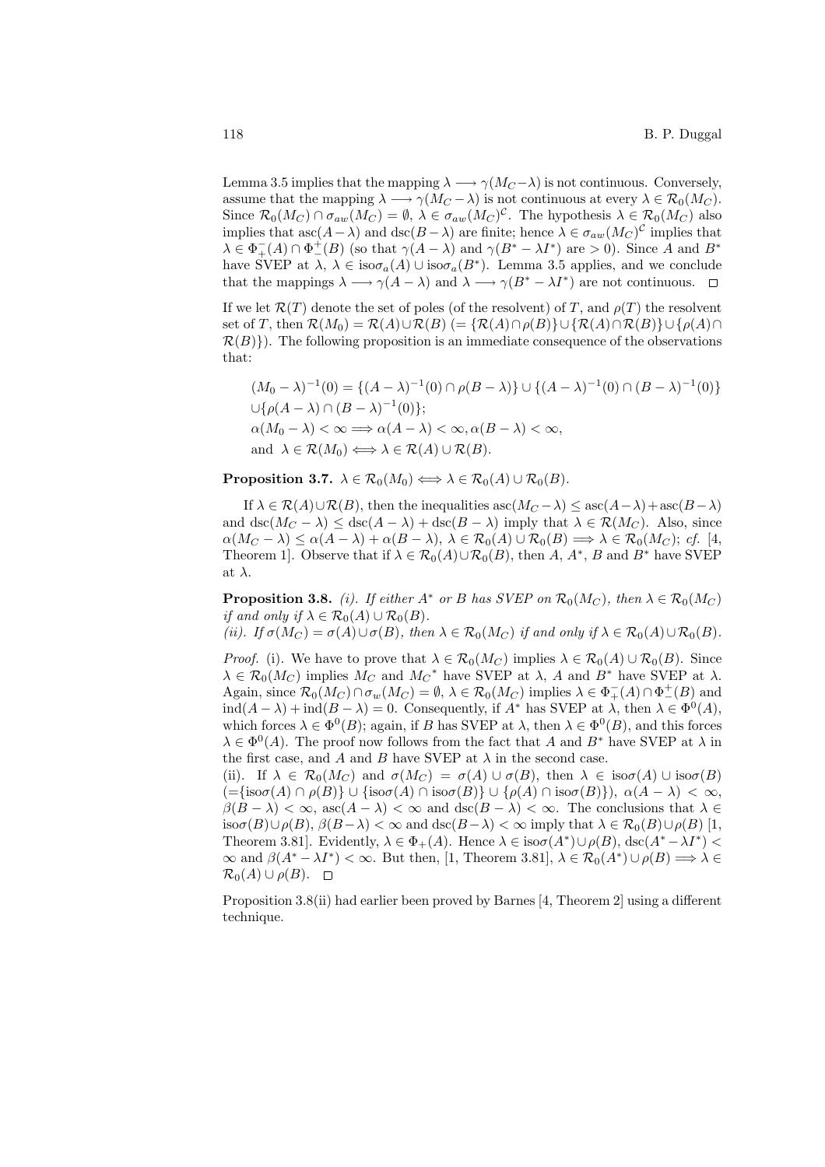Lemma 3.5 implies that the mapping  $\lambda \longrightarrow \gamma(M_C - \lambda)$  is not continuous. Conversely, assume that the mapping  $\lambda \longrightarrow \gamma(M_C - \lambda)$  is not continuous at every  $\lambda \in \mathcal{R}_0(M_C)$ . Since  $\mathcal{R}_0(M_C) \cap \sigma_{aw}(M_C) = \emptyset$ ,  $\lambda \in \sigma_{aw}(M_C)^c$ . The hypothesis  $\lambda \in \mathcal{R}_0(M_C)$  also implies that  $asc(A - \lambda)$  and  $dsc(B - \lambda)$  are finite; hence  $\lambda \in \sigma_{aw}(M_C)^C$  implies that  $\lambda \in \Phi_+^-(A) \cap \Phi_-^+(B)$  (so that  $\gamma(A - \lambda)$  and  $\gamma(B^* - \lambda I^*)$  are  $> 0$ ). Since A and  $B^*$ have SVEP at  $\lambda, \lambda \in \text{iso}\sigma_a(A) \cup \text{iso}\sigma_a(B^*)$ . Lemma 3.5 applies, and we conclude that the mappings  $\lambda \longrightarrow \gamma(A - \lambda)$  and  $\lambda \longrightarrow \gamma(B^* - \lambda I^*)$  are not continuous.

If we let  $\mathcal{R}(T)$  denote the set of poles (of the resolvent) of T, and  $\rho(T)$  the resolvent set of T, then  $\mathcal{R}(M_0) = \mathcal{R}(A) \cup \mathcal{R}(B)$  (= { $\mathcal{R}(A) \cap \rho(B)$ } $\cup$ { $\mathcal{R}(A) \cap \mathcal{R}(B)$ } $\cup$ { $\rho(A) \cap$  $\mathcal{R}(B)$ . The following proposition is an immediate consequence of the observations that:

$$
(M_0 - \lambda)^{-1}(0) = \{(A - \lambda)^{-1}(0) \cap \rho(B - \lambda)\} \cup \{(A - \lambda)^{-1}(0) \cap (B - \lambda)^{-1}(0)\}
$$
  

$$
\cup \{\rho(A - \lambda) \cap (B - \lambda)^{-1}(0)\};
$$
  

$$
\alpha(M_0 - \lambda) < \infty \implies \alpha(A - \lambda) < \infty, \alpha(B - \lambda) < \infty,
$$
  
and 
$$
\lambda \in \mathcal{R}(M_0) \iff \lambda \in \mathcal{R}(A) \cup \mathcal{R}(B).
$$

**Proposition 3.7.**  $\lambda \in \mathcal{R}_0(M_0) \Longleftrightarrow \lambda \in \mathcal{R}_0(A) \cup \mathcal{R}_0(B)$ .

If  $\lambda \in \mathcal{R}(A) \cup \mathcal{R}(B)$ , then the inequalities asc $(M_C - \lambda) \leq \mathrm{asc}(A - \lambda) + \mathrm{asc}(B - \lambda)$ and  $\text{dsc}(M_C - \lambda) \leq \text{dsc}(A - \lambda) + \text{dsc}(B - \lambda)$  imply that  $\lambda \in \mathcal{R}(M_C)$ . Also, since  $\alpha(M_C - \lambda) \leq \alpha(A - \lambda) + \alpha(B - \lambda), \ \lambda \in \mathcal{R}_0(A) \cup \mathcal{R}_0(B) \Longrightarrow \lambda \in \mathcal{R}_0(M_C); \ cf.$  [4, Theorem 1]. Observe that if  $\lambda \in \mathcal{R}_0(A) \cup \mathcal{R}_0(B)$ , then  $A, A^*, B$  and  $B^*$  have SVEP at  $\lambda$ .

**Proposition 3.8.** (i). If either  $A^*$  or B has SVEP on  $\mathcal{R}_0(M_C)$ , then  $\lambda \in \mathcal{R}_0(M_C)$ if and only if  $\lambda \in \mathcal{R}_0(A) \cup \mathcal{R}_0(B)$ .

(ii). If  $\sigma(M_C) = \sigma(A) \cup \sigma(B)$ , then  $\lambda \in \mathcal{R}_0(M_C)$  if and only if  $\lambda \in \mathcal{R}_0(A) \cup \mathcal{R}_0(B)$ .

*Proof.* (i). We have to prove that  $\lambda \in \mathcal{R}_0(M_C)$  implies  $\lambda \in \mathcal{R}_0(A) \cup \mathcal{R}_0(B)$ . Since  $\lambda \in \mathcal{R}_0(M_C)$  implies  $M_C$  and  $M_C^*$  have SVEP at  $\lambda$ , A and  $B^*$  have SVEP at  $\lambda$ . Again, since  $\mathcal{R}_0(M_C) \cap \sigma_w(M_C) = \emptyset$ ,  $\lambda \in \mathcal{R}_0(M_C)$  implies  $\lambda \in \Phi^-_+(A) \cap \Phi^+_-(B)$  and  $\text{ind}(A - \lambda) + \text{ind}(B - \lambda) = 0$ . Consequently, if  $A^*$  has SVEP at  $\lambda$ , then  $\lambda \in \Phi^0(A)$ , which forces  $\lambda \in \Phi^0(B)$ ; again, if B has SVEP at  $\lambda$ , then  $\lambda \in \Phi^0(B)$ , and this forces  $\lambda \in \Phi^0(A)$ . The proof now follows from the fact that A and B<sup>\*</sup> have SVEP at  $\lambda$  in the first case, and A and B have SVEP at  $\lambda$  in the second case.

(ii). If  $\lambda \in \mathcal{R}_0(M_C)$  and  $\sigma(M_C) = \sigma(A) \cup \sigma(B)$ , then  $\lambda \in \text{iso}\sigma(A) \cup \text{iso}\sigma(B)$  $(=\{\text{iso}\sigma(A)\cap\rho(B)\}\cup \{\text{iso}\sigma(A)\cap\text{iso}\sigma(B)\}\cup \{\rho(A)\cap\text{iso}\sigma(B)\}), \alpha(A-\lambda)<\infty,$  $\beta(B - \lambda) < \infty$ , asc $(A - \lambda) < \infty$  and  $\text{dsc}(B - \lambda) < \infty$ . The conclusions that  $\lambda \in$ iso $\sigma(B)\cup\rho(B)$ ,  $\beta(B-\lambda)<\infty$  and  $\operatorname{dsc}(B-\lambda)<\infty$  imply that  $\lambda\in\mathcal{R}_0(B)\cup\rho(B)$  [1, Theorem 3.81]. Evidently,  $\lambda \in \Phi_+(A)$ . Hence  $\lambda \in iso\sigma(A^*) \cup \rho(B)$ ,  $\text{dsc}(A^* - \lambda I^*)$  $\infty$  and  $\beta(A^* - \lambda I^*) < \infty$ . But then, [1, Theorem 3.81],  $\lambda \in \mathcal{R}_0(A^*) \cup \rho(B) \Longrightarrow \lambda \in$  $\mathcal{R}_0(A) \cup \rho(B)$ .  $\Box$ 

Proposition 3.8(ii) had earlier been proved by Barnes [4, Theorem 2] using a different technique.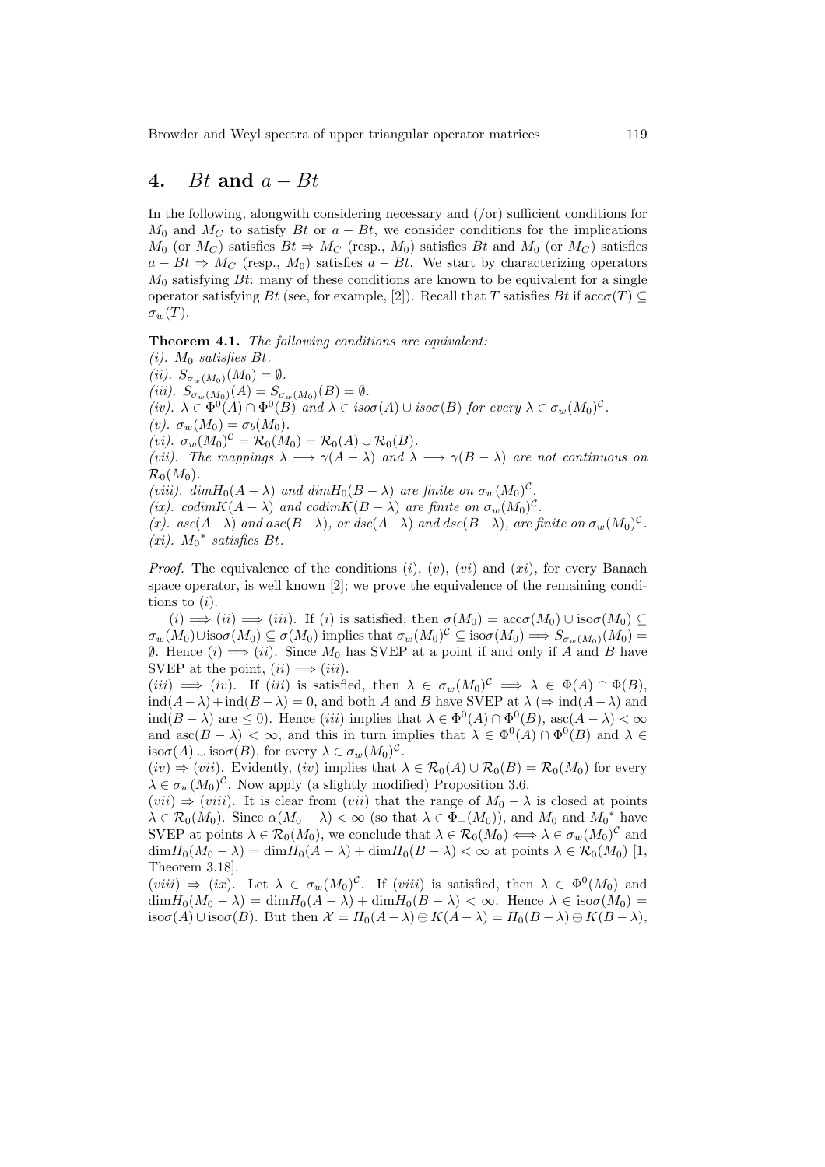# 4. Bt and  $a - Bt$

In the following, alongwith considering necessary and (/or) sufficient conditions for  $M_0$  and  $M_C$  to satisfy Bt or  $a - Bt$ , we consider conditions for the implications  $M_0$  (or  $M_C$ ) satisfies  $Bt \Rightarrow M_C$  (resp.,  $M_0$ ) satisfies  $Bt$  and  $M_0$  (or  $M_C$ ) satisfies  $a - Bt \Rightarrow M_C$  (resp.,  $M_0$ ) satisfies  $a - Bt$ . We start by characterizing operators  $M_0$  satisfying Bt: many of these conditions are known to be equivalent for a single operator satisfying Bt (see, for example, [2]). Recall that T satisfies Bt if  $\operatorname{acc}(\mathcal{T}) \subset$  $\sigma_w(T)$ .

Theorem 4.1. The following conditions are equivalent:

 $(i)$ .  $M_0$  satisfies Bt. (ii).  $S_{\sigma_w(M_0)}(M_0) = \emptyset$ . (iii).  $S_{\sigma_w(M_0)}(A) = S_{\sigma_w(M_0)}(B) = \emptyset$ . (iv).  $\lambda \in \Phi^0(A) \cap \Phi^0(B)$  and  $\lambda \in iso\sigma(A) \cup iso\sigma(B)$  for every  $\lambda \in \sigma_w(M_0)^c$ . (v).  $\sigma_w(M_0) = \sigma_b(M_0)$ . (vi).  $\sigma_w(M_0)^c = \mathcal{R}_0(M_0) = \mathcal{R}_0(A) \cup \mathcal{R}_0(B)$ . (vii). The mappings  $\lambda \longrightarrow \gamma(A-\lambda)$  and  $\lambda \longrightarrow \gamma(B-\lambda)$  are not continuous on  $\mathcal{R}_0(M_0)$ . (viii).  $dim H_0(A - \lambda)$  and  $dim H_0(B - \lambda)$  are finite on  $\sigma_w(M_0)^c$ . (ix). codim $K(A - \lambda)$  and codim $K(B - \lambda)$  are finite on  $\sigma_w(M_0)^c$ . (x). asc(A- $\lambda$ ) and asc(B- $\lambda$ ), or dsc(A- $\lambda$ ) and dsc(B- $\lambda$ ), are finite on  $\sigma_w(M_0)^c$ .  $(xi)$ .  $M_0^*$  satisfies Bt.

*Proof.* The equivalence of the conditions  $(i)$ ,  $(v)$ ,  $(vi)$  and  $(xi)$ , for every Banach space operator, is well known [2]; we prove the equivalence of the remaining conditions to  $(i)$ .

 $(i) \implies (ii) \implies (iii)$ . If (i) is satisfied, then  $\sigma(M_0) = \operatorname{acc}(\sigma(M_0) \cup \operatorname{iso}(\sigma(M_0)) \subseteq$  $\sigma_w(M_0) \cup \text{iso}\sigma(M_0) \subseteq \sigma(M_0)$  implies that  $\sigma_w(M_0)^c \subseteq \text{iso}\sigma(M_0) \Longrightarrow S_{\sigma_w(M_0)}(M_0) =$  $\emptyset$ . Hence (*i*)  $\Longrightarrow$  (*ii*). Since  $M_0$  has SVEP at a point if and only if A and B have SVEP at the point,  $(ii) \Longrightarrow (iii)$ .

 $(iii) \implies (iv)$ . If  $(iii)$  is satisfied, then  $\lambda \in \sigma_w(M_0)^{\mathcal{C}} \implies \lambda \in \Phi(A) \cap \Phi(B)$ ,  $ind(A-\lambda)+ind(B-\lambda)=0$ , and both A and B have SVEP at  $\lambda \Rightarrow ind(A-\lambda)$  and ind( $B - \lambda$ ) are  $\leq 0$ ). Hence *(iii)* implies that  $\lambda \in \Phi^0(A) \cap \Phi^0(B)$ , asc $(A - \lambda) < \infty$ and asc $(B - \lambda) < \infty$ , and this in turn implies that  $\lambda \in \Phi^0(A) \cap \Phi^0(B)$  and  $\lambda \in$ iso $\sigma(A) \cup \text{iso}\sigma(B)$ , for every  $\lambda \in \sigma_w(M_0)^c$ .

 $(iv) \Rightarrow (vii)$ . Evidently,  $(iv)$  implies that  $\lambda \in \mathcal{R}_0(A) \cup \mathcal{R}_0(B) = \mathcal{R}_0(M_0)$  for every  $\lambda \in \sigma_w(M_0)^c$ . Now apply (a slightly modified) Proposition 3.6.

 $(vii) \Rightarrow (viii)$ . It is clear from  $(vii)$  that the range of  $M_0 - \lambda$  is closed at points  $\lambda \in \mathcal{R}_0(M_0)$ . Since  $\alpha(M_0 - \lambda) < \infty$  (so that  $\lambda \in \Phi_+(M_0)$ ), and  $M_0$  and  $M_0^*$  have SVEP at points  $\lambda \in \mathcal{R}_0(M_0)$ , we conclude that  $\lambda \in \mathcal{R}_0(M_0) \Longleftrightarrow \lambda \in \sigma_w(M_0)^c$  and  $\dim H_0(M_0 - \lambda) = \dim H_0(A - \lambda) + \dim H_0(B - \lambda) < \infty$  at points  $\lambda \in \mathcal{R}_0(M_0)$  [1, Theorem 3.18].

 $(viii) \Rightarrow (ix)$ . Let  $\lambda \in \sigma_w(M_0)^c$ . If  $(viii)$  is satisfied, then  $\lambda \in \Phi^0(M_0)$  and  $\dim H_0(M_0 - \lambda) = \dim H_0(A - \lambda) + \dim H_0(B - \lambda) < \infty$ . Hence  $\lambda \in \text{iso}(M_0)$ iso $\sigma(A) \cup \text{iso}\sigma(B)$ . But then  $\mathcal{X} = H_0(A - \lambda) \oplus K(A - \lambda) = H_0(B - \lambda) \oplus K(B - \lambda)$ ,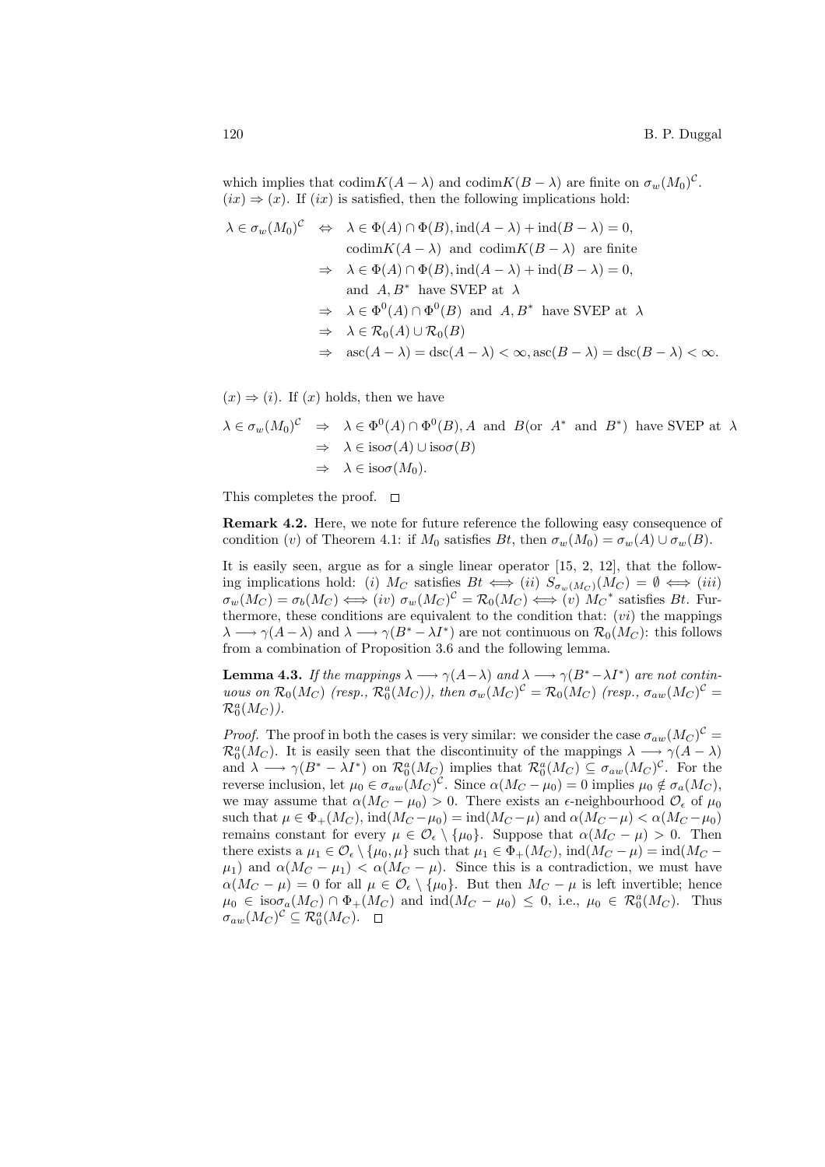which implies that  $\text{codim}K(A - \lambda)$  and  $\text{codim}K(B - \lambda)$  are finite on  $\sigma_w(M_0)^c$ .  $(ix) \Rightarrow (x)$ . If  $(ix)$  is satisfied, then the following implications hold:

$$
\lambda \in \sigma_w(M_0)^{\mathcal{C}} \iff \lambda \in \Phi(A) \cap \Phi(B), \text{ind}(A - \lambda) + \text{ind}(B - \lambda) = 0,
$$
  
\n
$$
\text{codim}K(A - \lambda) \text{ and } \text{codim}K(B - \lambda) \text{ are finite}
$$
  
\n
$$
\Rightarrow \lambda \in \Phi(A) \cap \Phi(B), \text{ind}(A - \lambda) + \text{ind}(B - \lambda) = 0,
$$
  
\nand  $A, B^*$  have SVEP at  $\lambda$   
\n
$$
\Rightarrow \lambda \in \Phi^0(A) \cap \Phi^0(B) \text{ and } A, B^* \text{ have SVEP at } \lambda
$$
  
\n
$$
\Rightarrow \lambda \in \mathcal{R}_0(A) \cup \mathcal{R}_0(B)
$$
  
\n
$$
\Rightarrow \text{asc}(A - \lambda) = \text{disc}(A - \lambda) < \infty, \text{asc}(B - \lambda) = \text{disc}(B - \lambda) < \infty.
$$

 $(x) \Rightarrow (i)$ . If  $(x)$  holds, then we have

$$
\lambda \in \sigma_w(M_0)^{\mathcal{C}} \Rightarrow \lambda \in \Phi^0(A) \cap \Phi^0(B), A \text{ and } B(\text{or } A^* \text{ and } B^*) \text{ have SVEP at } \lambda
$$
  

$$
\Rightarrow \lambda \in \text{iso}\sigma(A) \cup \text{iso}\sigma(B)
$$
  

$$
\Rightarrow \lambda \in \text{iso}\sigma(M_0).
$$

This completes the proof.  $\square$ 

Remark 4.2. Here, we note for future reference the following easy consequence of condition (v) of Theorem 4.1: if  $M_0$  satisfies  $Bt$ , then  $\sigma_w(M_0) = \sigma_w(A) \cup \sigma_w(B)$ .

It is easily seen, argue as for a single linear operator [15, 2, 12], that the following implications hold: (i)  $M_C$  satisfies  $Bt \iff (ii) S_{\sigma_w(M_C)}(M_C) = \emptyset \iff (iii)$  $\sigma_w(M_C) = \sigma_b(M_C) \Longleftrightarrow (iv) \; \sigma_w(M_C)^C = \mathcal{R}_0(M_C) \Longleftrightarrow (v) \; M_C^*$  satisfies Bt. Furthermore, these conditions are equivalent to the condition that:  $(vi)$  the mappings  $\lambda \longrightarrow \gamma(A-\lambda)$  and  $\lambda \longrightarrow \gamma(B^*-\lambda I^*)$  are not continuous on  $\mathcal{R}_0(M_C)$ : this follows from a combination of Proposition 3.6 and the following lemma.

**Lemma 4.3.** If the mappings  $\lambda \longrightarrow \gamma(A-\lambda)$  and  $\lambda \longrightarrow \gamma(B^*-\lambda I^*)$  are not continuous on  $\mathcal{R}_0(M_C)$  (resp.,  $\mathcal{R}_0^a(M_C)$ ), then  $\sigma_w(M_C)^c = \mathcal{R}_0(M_C)$  (resp.,  $\sigma_{aw}(M_C)^c =$  $\mathcal{R}_0^{a}(M_C)$ ).

*Proof.* The proof in both the cases is very similar: we consider the case  $\sigma_{aw}(M_C)^C$  =  $\mathcal{R}_0^a(M_C)$ . It is easily seen that the discontinuity of the mappings  $\lambda \longrightarrow \gamma(A-\lambda)$ and  $\lambda \longrightarrow \gamma(B^* - \lambda I^*)$  on  $\mathcal{R}_0^a(M_C)$  implies that  $\mathcal{R}_0^a(M_C) \subseteq \sigma_{aw}(M_C)^c$ . For the reverse inclusion, let  $\mu_0 \in \sigma_{aw}(M_C)^c$ . Since  $\alpha(M_C - \mu_0) = 0$  implies  $\mu_0 \notin \sigma_a(M_C)$ , we may assume that  $\alpha(M_C - \mu_0) > 0$ . There exists an  $\epsilon$ -neighbourhood  $\mathcal{O}_{\epsilon}$  of  $\mu_0$ such that  $\mu \in \Phi_+(M_C)$ ,  $\text{ind}(M_C - \mu_0) = \text{ind}(M_C - \mu)$  and  $\alpha(M_C - \mu) < \alpha(M_C - \mu_0)$ remains constant for every  $\mu \in \mathcal{O}_{\epsilon} \setminus {\{\mu_0\}}$ . Suppose that  $\alpha(M_C - \mu) > 0$ . Then there exists a  $\mu_1 \in \mathcal{O}_{\epsilon} \setminus {\mu_0, \mu}$  such that  $\mu_1 \in \Phi_+(M_C)$ , ind $(M_C - \mu) = \text{ind}(M_C - \mu)$  $\mu_1$ ) and  $\alpha(M_C - \mu_1) < \alpha(M_C - \mu)$ . Since this is a contradiction, we must have  $\alpha(M_C - \mu) = 0$  for all  $\mu \in \mathcal{O}_{\epsilon} \setminus {\{\mu_0\}}$ . But then  $M_C - \mu$  is left invertible; hence  $\mu_0 \in \text{iso}\sigma_a(M_C) \cap \Phi_+(M_C)$  and  $\text{ind}(M_C - \mu_0) \leq 0$ , i.e.,  $\mu_0 \in \mathcal{R}_0^a(M_C)$ . Thus  $\sigma_{aw}(M_C)^{\mathcal{C}} \subseteq \mathcal{R}_0^a(M_C).$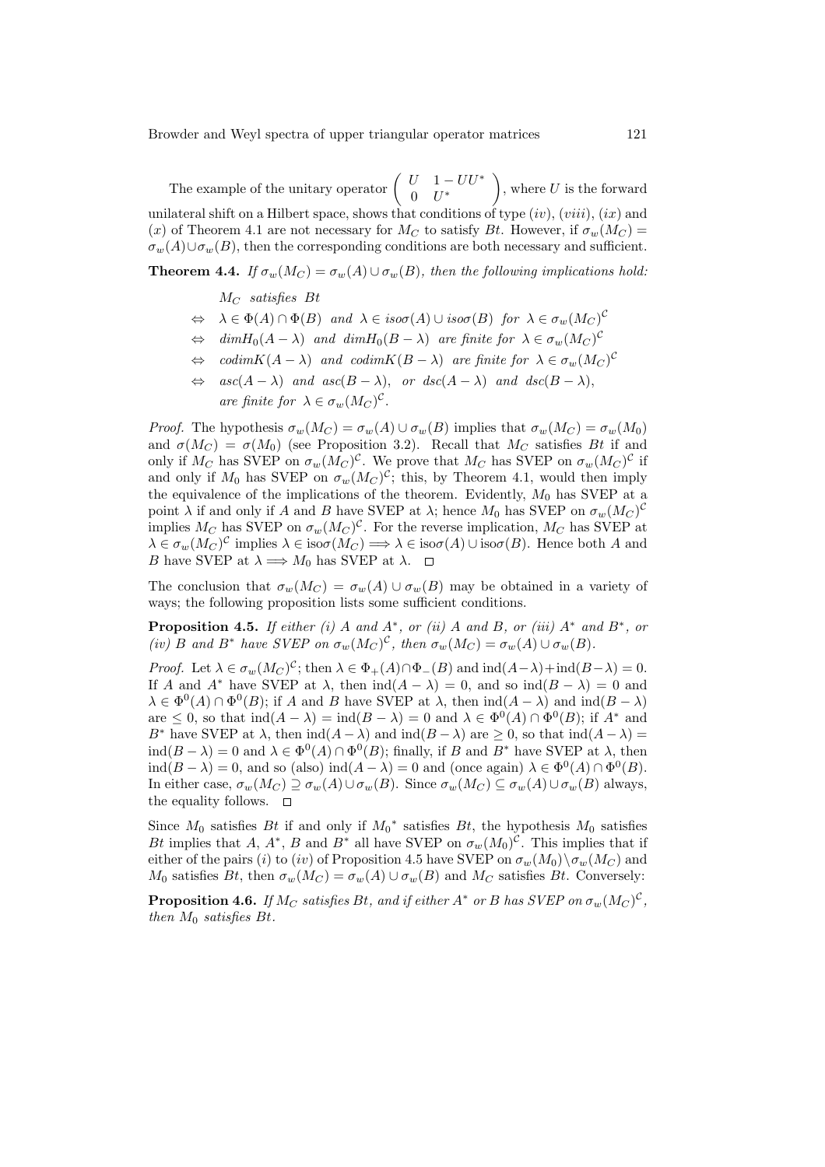The example of the unitary operator  $\begin{pmatrix} U & 1-UU^* \\ 0 & I^*\end{pmatrix}$  $0$   $U^*$  $\mathbf{r}$ , where  $U$  is the forward unilateral shift on a Hilbert space, shows that conditions of type  $(iv)$ ,  $(viii)$ ,  $(ix)$  and (x) of Theorem 4.1 are not necessary for  $M_C$  to satisfy Bt. However, if  $\sigma_w(M_C)$  =  $\sigma_w(A) \cup \sigma_w(B)$ , then the corresponding conditions are both necessary and sufficient.

## **Theorem 4.4.** If  $\sigma_w(M_C) = \sigma_w(A) \cup \sigma_w(B)$ , then the following implications hold:

#### $M_C$  satisfies Bt

- $\Leftrightarrow \quad \lambda \in \Phi(A) \cap \Phi(B) \text{ and } \lambda \in iso\sigma(A) \cup iso\sigma(B) \text{ for } \lambda \in \sigma_w(M_C)^C$
- $\Leftrightarrow$  dim $H_0(A \lambda)$  and dim $H_0(B \lambda)$  are finite for  $\lambda \in \sigma_w(M_C)^C$
- $\Leftrightarrow$  codim $K(A \lambda)$  and codim $K(B \lambda)$  are finite for  $\lambda \in \sigma_w(M_C)^C$
- $\Leftrightarrow$  asc(A  $\lambda$ ) and asc(B  $\lambda$ ), or dsc(A  $\lambda$ ) and dsc(B  $\lambda$ ), are finite for  $\lambda \in \sigma_w(M_C)^c$ .

*Proof.* The hypothesis  $\sigma_w(M_C) = \sigma_w(A) \cup \sigma_w(B)$  implies that  $\sigma_w(M_C) = \sigma_w(M_0)$ and  $\sigma(M_C) = \sigma(M_0)$  (see Proposition 3.2). Recall that  $M_C$  satisfies Bt if and only if  $M_C$  has SVEP on  $\sigma_w(M_C)^C$ . We prove that  $M_C$  has SVEP on  $\sigma_w(M_C)^C$  if and only if  $M_0$  has SVEP on  $\sigma_w(M_C)^c$ ; this, by Theorem 4.1, would then imply the equivalence of the implications of the theorem. Evidently,  $M_0$  has SVEP at a point  $\lambda$  if and only if A and B have SVEP at  $\lambda$ ; hence  $M_0$  has SVEP on  $\sigma_w(M_C)^C$ implies  $M_C$  has SVEP on  $\sigma_w(M_C)^C$ . For the reverse implication,  $M_C$  has SVEP at  $\lambda \in \sigma_w(M_C)^{\mathcal{C}}$  implies  $\lambda \in \text{iso}\sigma(M_C) \Longrightarrow \lambda \in \text{iso}\sigma(A) \cup \text{iso}\sigma(B)$ . Hence both A and B have SVEP at  $\lambda \Longrightarrow M_0$  has SVEP at  $\lambda$ .

The conclusion that  $\sigma_w(M_C) = \sigma_w(A) \cup \sigma_w(B)$  may be obtained in a variety of ways; the following proposition lists some sufficient conditions.

**Proposition 4.5.** If either (i) A and  $A^*$ , or (ii) A and B, or (iii)  $A^*$  and  $B^*$ , or (iv) B and B<sup>\*</sup> have SVEP on  $\sigma_w(M_C)^c$ , then  $\sigma_w(M_C) = \sigma_w(A) \cup \sigma_w(B)$ .

Proof. Let  $\lambda \in \sigma_w(M_C)^c$ ; then  $\lambda \in \Phi_+(A) \cap \Phi_-(B)$  and  $\text{ind}(A-\lambda) + \text{ind}(B-\lambda) = 0$ . If A and A<sup>\*</sup> have SVEP at  $\lambda$ , then  $\text{ind}(A - \lambda) = 0$ , and so  $\text{ind}(B - \lambda) = 0$  and  $\lambda \in \Phi^0(A) \cap \Phi^0(B)$ ; if A and B have SVEP at  $\lambda$ , then  $\text{ind}(A - \lambda)$  and  $\text{ind}(B - \lambda)$ are  $\leq 0$ , so that  $\text{ind}(A - \lambda) = \text{ind}(B - \lambda) = 0$  and  $\lambda \in \Phi^0(A) \cap \Phi^0(B)$ ; if  $A^*$  and B<sup>∗</sup> have SVEP at  $\lambda$ , then  $\text{ind}(A - \lambda)$  and  $\text{ind}(B - \lambda)$  are  $\geq 0$ , so that  $\text{ind}(A - \lambda) =$  $\text{ind}(B - \lambda) = 0$  and  $\lambda \in \Phi^0(A) \cap \Phi^0(B)$ ; finally, if B and B<sup>\*</sup> have SVEP at  $\lambda$ , then  $\text{ind}(B - \lambda) = 0$ , and so (also)  $\text{ind}(A - \lambda) = 0$  and (once again)  $\lambda \in \Phi^0(A) \cap \Phi^0(B)$ . In either case,  $\sigma_w(M_C) \supseteq \sigma_w(A) \cup \sigma_w(B)$ . Since  $\sigma_w(M_C) \subseteq \sigma_w(A) \cup \sigma_w(B)$  always, the equality follows.  $\square$ 

Since  $M_0$  satisfies Bt if and only if  $M_0^*$  satisfies Bt, the hypothesis  $M_0$  satisfies Bt implies that A,  $A^*$ , B and B<sup>\*</sup> all have SVEP on  $\sigma_w(M_0)^{\mathcal{C}}$ . This implies that if either of the pairs (i) to (iv) of Proposition 4.5 have SVEP on  $\sigma_w(M_0)\setminus\sigma_w(M_C)$  and  $M_0$  satisfies Bt, then  $\sigma_w(M_C) = \sigma_w(A) \cup \sigma_w(B)$  and  $M_C$  satisfies Bt. Conversely:

**Proposition 4.6.** If  $M_C$  satisfies Bt, and if either  $A^*$  or B has SVEP on  $\sigma_w(M_C)^{\mathcal{C}}$ , then  $M_0$  satisfies Bt.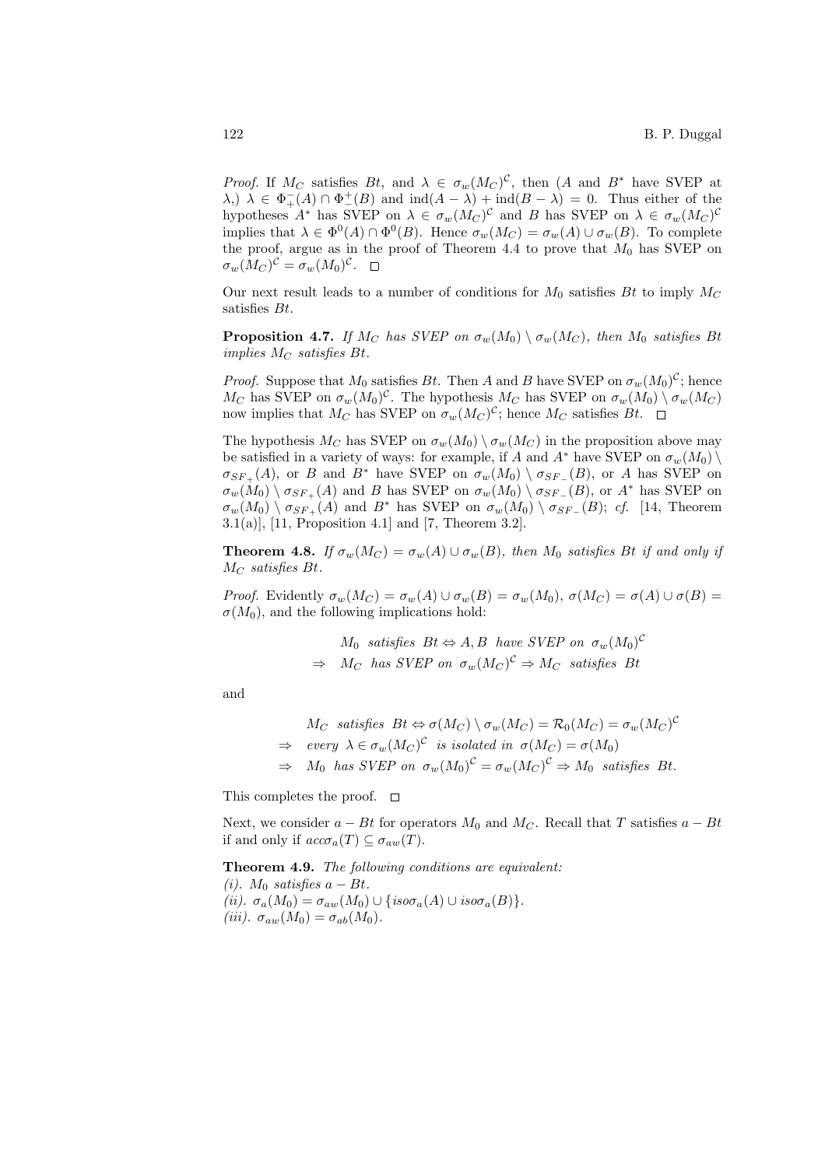*Proof.* If  $M_C$  satisfies  $Bt$ , and  $\lambda \in \sigma_w(M_C)^C$ , then  $(A \text{ and } B^*$  have SVEP at  $(\lambda, \lambda) \lambda \in \Phi_+^-(A) \cap \Phi_-^+(B)$  and  $\text{ind}(A - \lambda) + \text{ind}(B - \lambda) = 0$ . Thus either of the hypotheses  $A^*$  has SVEP on  $\lambda \in \sigma_w(M_C)^C$  and B has SVEP on  $\lambda \in \sigma_w(M_C)^C$ implies that  $\lambda \in \Phi^0(A) \cap \Phi^0(B)$ . Hence  $\sigma_w(M_C) = \sigma_w(A) \cup \sigma_w(B)$ . To complete the proof, argue as in the proof of Theorem 4.4 to prove that  $M_0$  has SVEP on  $\sigma_w(M_C)^{\mathcal{C}} = \sigma_w(M_0)^{\mathcal{C}}.$ 

Our next result leads to a number of conditions for  $M_0$  satisfies Bt to imply  $M_C$ satisfies Bt.

**Proposition 4.7.** If  $M_C$  has SVEP on  $\sigma_w(M_0) \setminus \sigma_w(M_C)$ , then  $M_0$  satisfies Bt implies  $M_C$  satisfies Bt.

*Proof.* Suppose that  $M_0$  satisfies Bt. Then A and B have SVEP on  $\sigma_w(M_0)^C$ ; hence  $M_C$  has SVEP on  $\sigma_w(M_0)^c$ . The hypothesis  $M_C$  has SVEP on  $\sigma_w(M_0) \setminus \sigma_w(M_C)$ now implies that  $M_C$  has SVEP on  $\sigma_w(M_C)^c$ ; hence  $M_C$  satisfies  $Bt$ .

The hypothesis  $M_C$  has SVEP on  $\sigma_w(M_0) \setminus \sigma_w(M_C)$  in the proposition above may be satisfied in a variety of ways: for example, if A and A<sup>\*</sup> have SVEP on  $\sigma_w(M_0)$  $\sigma_{SF_+}(A)$ , or B and B<sup>\*</sup> have SVEP on  $\sigma_w(M_0) \setminus \sigma_{SF_-}(B)$ , or A has SVEP on  $\sigma_w(M_0) \setminus \sigma_{SF_+}(A)$  and B has SVEP on  $\sigma_w(M_0) \setminus \sigma_{SF_-}(B)$ , or  $A^*$  has SVEP on  $\sigma_w(M_0) \setminus \sigma_{SF_+}(A)$  and  $B^*$  has SVEP on  $\sigma_w(M_0) \setminus \sigma_{SF_-}(B)$ ; cf. [14, Theorem 3.1(a)], [11, Proposition 4.1] and [7, Theorem 3.2].

**Theorem 4.8.** If  $\sigma_w(M_C) = \sigma_w(A) \cup \sigma_w(B)$ , then  $M_0$  satisfies Bt if and only if  $M_C$  satisfies Bt.

Proof. Evidently  $\sigma_w(M_C) = \sigma_w(A) \cup \sigma_w(B) = \sigma_w(M_0), \sigma(M_C) = \sigma(A) \cup \sigma(B) =$  $\sigma(M_0)$ , and the following implications hold:

> $M_0$  satisfies  $Bt \Leftrightarrow A, B$  have SVEP on  $\sigma_w(M_0)^{\mathcal{C}}$  $\Rightarrow M_C$  has SVEP on  $\sigma_w(M_C)^C \Rightarrow M_C$  satisfies Bt

and

 $M_C$  satisfies  $Bt \Leftrightarrow \sigma(M_C) \setminus \sigma_w(M_C) = \mathcal{R}_0(M_C) = \sigma_w(M_C)^C$  $\Rightarrow$  every  $\lambda \in \sigma_w(M_C)^{\mathcal{C}}$  is isolated in  $\sigma(M_C) = \sigma(M_0)$  $\Rightarrow M_0$  has SVEP on  $\sigma_w(M_0)^c = \sigma_w(M_C)^c \Rightarrow M_0$  satisfies Bt.

This completes the proof.  $\square$ 

Next, we consider  $a - Bt$  for operators  $M_0$  and  $M_C$ . Recall that T satisfies  $a - Bt$ if and only if  $acc\sigma_a(T) \subseteq \sigma_{aw}(T)$ .

Theorem 4.9. The following conditions are equivalent:

(i).  $M_0$  satisfies  $a - Bt$ . (ii).  $\sigma_a(M_0) = \sigma_{aw}(M_0) \cup \{iso\sigma_a(A) \cup iso\sigma_a(B)\}.$ (iii).  $\sigma_{aw}(M_0) = \sigma_{ab}(M_0)$ .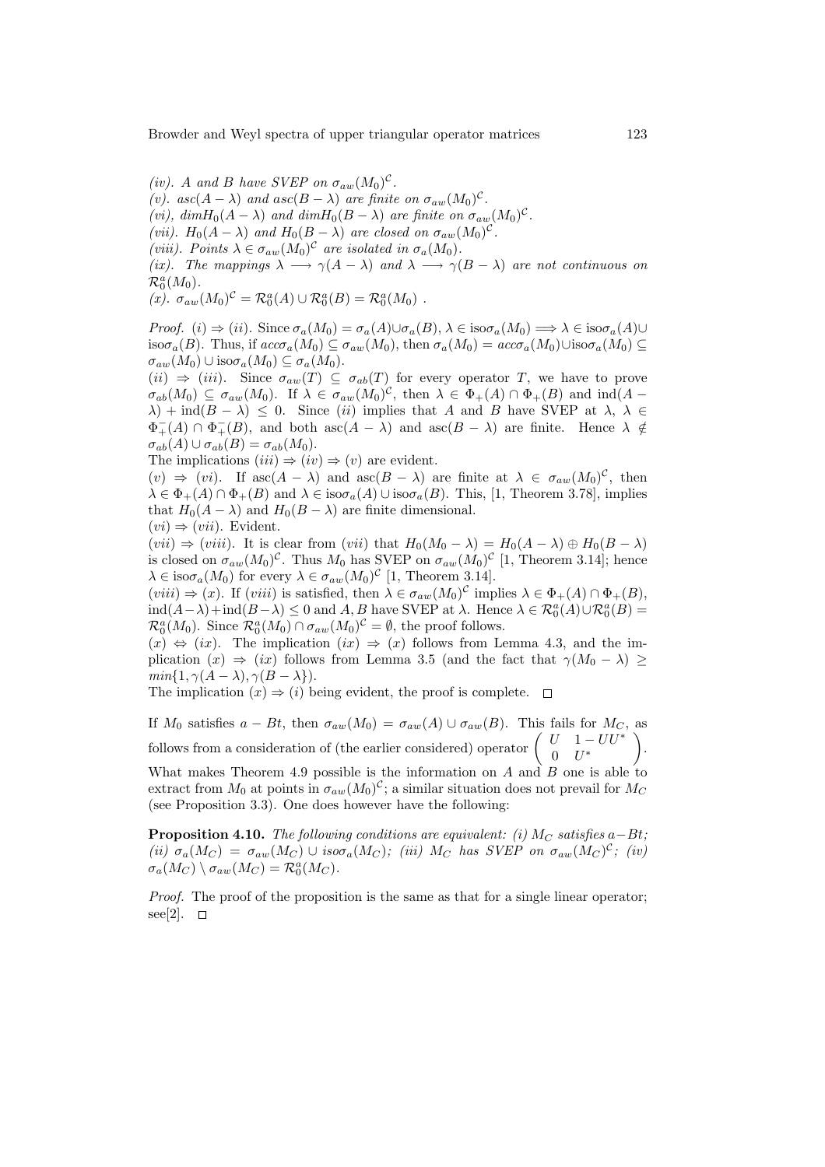(iv). A and B have SVEP on  $\sigma_{aw}(M_0)^c$ . (v).  $asc(A - \lambda)$  and  $asc(B - \lambda)$  are finite on  $\sigma_{aw}(M_0)^c$ . (vi),  $dim H_0(A - \lambda)$  and  $dim H_0(B - \lambda)$  are finite on  $\sigma_{aw}(M_0)^c$ . (vii).  $H_0(A - \lambda)$  and  $H_0(B - \lambda)$  are closed on  $\sigma_{aw}(M_0)^c$ . (viii). Points  $\lambda \in \sigma_{aw}(M_0)^c$  are isolated in  $\sigma_a(M_0)$ . (ix). The mappings  $\lambda \longrightarrow \gamma(A-\lambda)$  and  $\lambda \longrightarrow \gamma(B-\lambda)$  are not continuous on  $\mathcal{R}_0^a(M_0)$ . (x).  $\sigma_{aw}(M_0)^c = \mathcal{R}_0^a(A) \cup \mathcal{R}_0^a(B) = \mathcal{R}_0^a(M_0)$ .

Proof. (i)  $\Rightarrow$  (ii). Since  $\sigma_a(M_0) = \sigma_a(A) \cup \sigma_a(B)$ ,  $\lambda \in \text{iso}\sigma_a(M_0) \Longrightarrow \lambda \in \text{iso}\sigma_a(A) \cup$ iso $\sigma_a(B)$ . Thus, if  $acc\sigma_a(M_0) \subseteq \sigma_{aw}(M_0)$ , then  $\sigma_a(M_0) = acc\sigma_a(M_0) \cup iso\sigma_a(M_0) \subseteq$  $\sigma_{aw}(M_0) \cup \mathrm{iso}\sigma_a(M_0) \subseteq \sigma_a(M_0).$ 

 $(ii) \Rightarrow (iii)$ . Since  $\sigma_{aw}(T) \subseteq \sigma_{ab}(T)$  for every operator T, we have to prove  $\sigma_{ab}(M_0) \subseteq \sigma_{aw}(M_0)$ . If  $\lambda \in \sigma_{aw}(M_0)^C$ , then  $\lambda \in \Phi_+(A) \cap \Phi_+(B)$  and  $\text{ind}(A \lambda$ ) + ind( $B - \lambda$ )  $\leq 0$ . Since *(ii)* implies that A and B have SVEP at  $\lambda$ ,  $\lambda \in$  $\Phi_+^-(A) \cap \Phi_+^-(B)$ , and both  $\operatorname{asc}(A - \lambda)$  and  $\operatorname{asc}(B - \lambda)$  are finite. Hence  $\lambda \notin$  $\sigma_{ab}(A) \cup \sigma_{ab}(B) = \sigma_{ab}(M_0).$ 

The implications  $(iii) \Rightarrow (iv) \Rightarrow (v)$  are evident.

 $(v) \Rightarrow (vi)$ . If  $asc(A - \lambda)$  and  $asc(B - \lambda)$  are finite at  $\lambda \in \sigma_{aw}(M_0)^c$ , then  $\lambda \in \Phi_{+}(A) \cap \Phi_{+}(B)$  and  $\lambda \in \text{iso}\sigma_{a}(A) \cup \text{iso}\sigma_{a}(B)$ . This, [1, Theorem 3.78], implies that  $H_0(A - \lambda)$  and  $H_0(B - \lambda)$  are finite dimensional.

$$
(vi) \Rightarrow (vii)
$$
. Evident.

 $(vii) \Rightarrow (viii)$ . It is clear from  $(vii)$  that  $H_0(M_0 - \lambda) = H_0(A - \lambda) \oplus H_0(B - \lambda)$ is closed on  $\sigma_{aw}(M_0)^c$ . Thus  $M_0$  has SVEP on  $\sigma_{aw}(M_0)^c$  [1, Theorem 3.14]; hence  $\lambda \in \text{iso}\sigma_a(M_0)$  for every  $\lambda \in \sigma_{aw}(M_0)^c$  [1, Theorem 3.14].

 $(viii) \Rightarrow (x)$ . If  $(viii)$  is satisfied, then  $\lambda \in \sigma_{aw}(M_0)^{\mathcal{C}}$  implies  $\lambda \in \Phi_+(A) \cap \Phi_+(B)$ ,  $\text{ind}(A-\lambda)+\text{ind}(B-\lambda) \leq 0$  and  $A, B$  have SVEP at  $\lambda$ . Hence  $\lambda \in \mathcal{R}_0^a(A) \cup \mathcal{R}_0^a(B) =$  $\mathcal{R}_0^a(M_0)$ . Since  $\mathcal{R}_0^a(M_0) \cap \sigma_{aw}(M_0)^c = \emptyset$ , the proof follows.

 $(x) \Leftrightarrow (ix)$ . The implication  $(ix) \Rightarrow (x)$  follows from Lemma 4.3, and the implication  $(x) \Rightarrow (ix)$  follows from Lemma 3.5 (and the fact that  $\gamma(M_0 - \lambda) \ge$  $min\{1, \gamma(A - \lambda), \gamma(B - \lambda)\}.$ 

The implication  $(x) \Rightarrow (i)$  being evident, the proof is complete.  $\Box$ 

If  $M_0$  satisfies  $a - Bt$ , then  $\sigma_{aw}(M_0) = \sigma_{aw}(A) \cup \sigma_{aw}(B)$ . This fails for  $M_C$ , as If  $M_0$  satisfies  $a - Bt$ , then  $\sigma_{aw}(M_0) = \sigma_{aw}(A) \cup \sigma_{aw}(B)$ . This fails for  $M_C$ <br>follows from a consideration of (the earlier considered) operator  $\begin{pmatrix} U & 1 - U U^* \\ 0 & I^* \end{pmatrix}$  $0$   $U^*$ .

What makes Theorem 4.9 possible is the information on A and B one is able to extract from  $M_0$  at points in  $\sigma_{aw}(M_0)^c$ ; a similar situation does not prevail for  $M_C$ (see Proposition 3.3). One does however have the following:

**Proposition 4.10.** The following conditions are equivalent: (i)  $M_C$  satisfies a–Bt; (ii)  $\sigma_a(M_C) = \sigma_{aw}(M_C) \cup iso \sigma_a(M_C)$ ; (iii)  $M_C$  has SVEP on  $\sigma_{aw}(M_C)^c$ ; (iv)  $\sigma_a(M_C) \setminus \sigma_{aw}(M_C) = \mathcal{R}_0^a(M_C).$ 

Proof. The proof of the proposition is the same as that for a single linear operator; see[2].  $\square$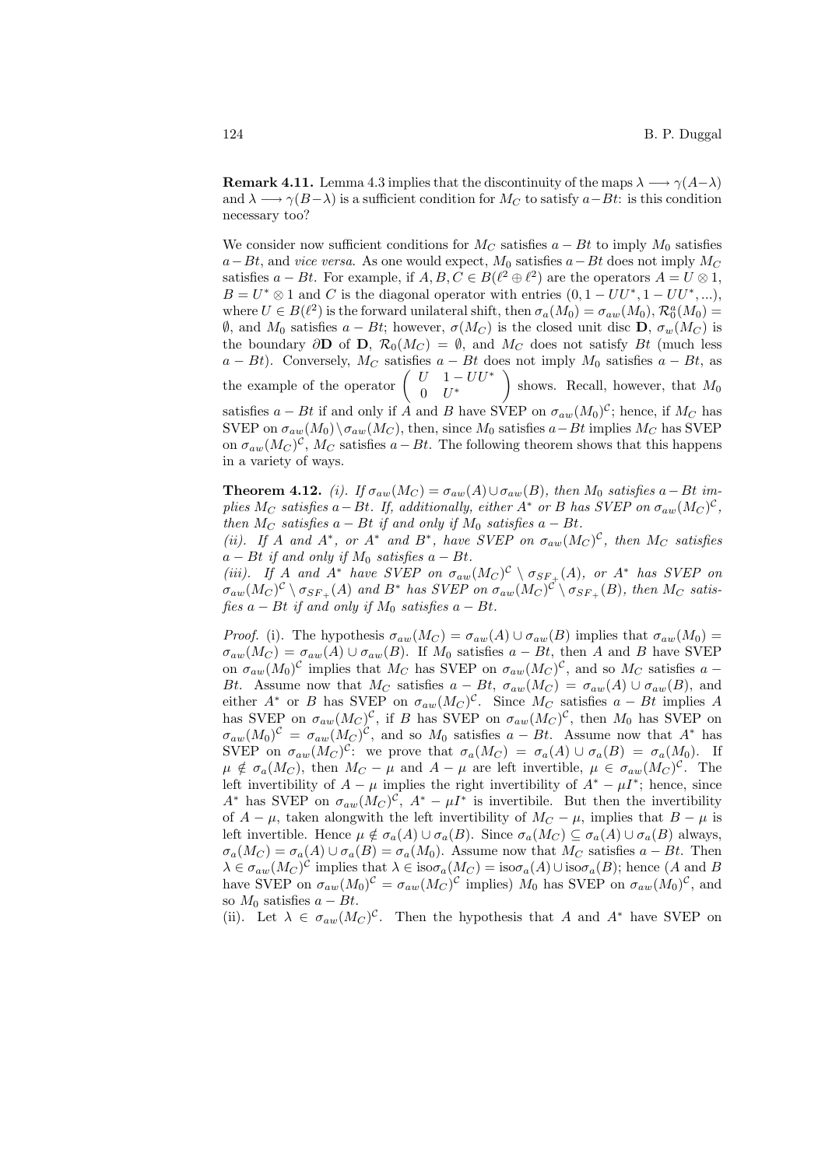**Remark 4.11.** Lemma 4.3 implies that the discontinuity of the maps  $\lambda \longrightarrow \gamma(A-\lambda)$ and  $\lambda \longrightarrow \gamma(B-\lambda)$  is a sufficient condition for  $M_C$  to satisfy  $a-Bt$ : is this condition necessary too?

We consider now sufficient conditions for  $M_C$  satisfies  $a - Bt$  to imply  $M_0$  satisfies  $a-Bt$ , and vice versa. As one would expect,  $M_0$  satisfies  $a-Bt$  does not imply  $M_C$ satisfies  $a - Bt$ . For example, if  $A, B, C \in B(\ell^2 \oplus \ell^2)$  are the operators  $A = U \otimes 1$ ,  $B = U^* \otimes 1$  and C is the diagonal operator with entries  $(0, 1 - UU^*, 1 - UU^*, ...)$ where  $U \in B(\ell^2)$  is the forward unilateral shift, then  $\sigma_a(M_0) = \sigma_{aw}(M_0)$ ,  $\mathcal{R}_0^a(M_0) =$  $θ$ , and  $M_0$  satisfies  $a - Bt$ ; however,  $σ(M_C)$  is the closed unit disc **D**,  $σ_w(M_C)$  is the boundary  $\partial$ **D** of **D**,  $\mathcal{R}_0(M_C) = \emptyset$ , and  $M_C$  does not satisfy Bt (much less  $a - Bt$ ). Conversely,  $M_C$  satisfies  $a - Bt$  does not imply  $M_0$  satisfies  $a - Bt$ , as<br>the example of the operator  $\begin{pmatrix} U & 1 - UU^* \\ 0 & U \end{pmatrix}$  shows. Recall, however, that  $M_0$  $0$   $U^*$  $\frac{5}{10}$ shows. Recall, however, that  $M_0$ satisfies  $a - Bt$  if and only if A and B have SVEP on  $\sigma_{aw}(M_0)^c$ ; hence, if  $M_C$  has SVEP on  $\sigma_{aw}(M_0) \setminus \sigma_{aw}(M_C)$ , then, since  $M_0$  satisfies  $a-Bt$  implies  $M_C$  has SVEP on  $\sigma_{aw}(M_C)^{\mathcal{C}}, M_C$  satisfies  $a - Bt$ . The following theorem shows that this happens in a variety of ways.

**Theorem 4.12.** (i). If  $\sigma_{aw}(M_C) = \sigma_{aw}(A) \cup \sigma_{aw}(B)$ , then  $M_0$  satisfies a – Bt implies  $M_C$  satisfies a – Bt. If, additionally, either  $A^*$  or B has SVEP on  $\sigma_{aw}(M_C)^C$ , then  $M_C$  satisfies  $a - Bt$  if and only if  $M_0$  satisfies  $a - Bt$ .

(ii). If A and  $A^*$ , or  $A^*$  and  $B^*$ , have SVEP on  $\sigma_{aw}(M_C)^C$ , then  $M_C$  satisfies  $a - Bt$  if and only if  $M_0$  satisfies  $a - Bt$ .

(iii). If A and  $A^*$  have SVEP on  $\sigma_{aw}(M_C)^C \setminus \sigma_{SF_+}(A)$ , or  $A^*$  has SVEP on  $\sigma_{aw}(M_C)^{\mathcal{C}} \setminus \sigma_{SF_+}(A)$  and  $B^*$  has SVEP on  $\sigma_{aw}(M_C)^{\mathcal{C}} \setminus \sigma_{SF_+}(B)$ , then  $M_C$  satisfies  $a - Bt$  if and only if  $M_0$  satisfies  $a - Bt$ .

Proof. (i). The hypothesis  $\sigma_{aw}(M_C) = \sigma_{aw}(A) \cup \sigma_{aw}(B)$  implies that  $\sigma_{aw}(M_0) =$  $\sigma_{aw}(M_C) = \sigma_{aw}(A) \cup \sigma_{aw}(B)$ . If  $M_0$  satisfies  $a - Bt$ , then A and B have SVEP on  $\sigma_{aw}(M_0)^c$  implies that  $M_C$  has SVEP on  $\sigma_{aw}(M_C)^c$ , and so  $M_C$  satisfies a -Bt. Assume now that M<sub>C</sub> satisfies  $a - Bt$ ,  $\sigma_{aw}(M_C) = \sigma_{aw}(A) \cup \sigma_{aw}(B)$ , and either  $A^*$  or B has SVEP on  $\sigma_{aw}(M_C)^C$ . Since  $M_C$  satisfies  $a - Bt$  implies A has SVEP on  $\sigma_{aw}(M_C)^c$ , if B has SVEP on  $\sigma_{aw}(M_C)^c$ , then  $M_0$  has SVEP on  $\sigma_{aw}(M_0)^c = \sigma_{aw}(M_C)^c$ , and so  $M_0$  satisfies  $a - Bt$ . Assume now that  $A^*$  has SVEP on  $\sigma_{aw}(M_C)^c$ : we prove that  $\sigma_a(M_C) = \sigma_a(A) \cup \sigma_a(B) = \sigma_a(M_0)$ . If  $\mu \notin \sigma_a(M_C)$ , then  $M_C - \mu$  and  $A - \mu$  are left invertible,  $\mu \in \sigma_{aw}(M_C)^C$ . The left invertibility of  $A - \mu$  implies the right invertibility of  $A^* - \mu I^*$ ; hence, since A<sup>\*</sup> has SVEP on  $\sigma_{aw}(M_C)^C$ ,  $A^* - \mu I^*$  is invertibile. But then the invertibility of  $A - \mu$ , taken alongwith the left invertibility of  $M_C - \mu$ , implies that  $B - \mu$  is left invertible. Hence  $\mu \notin \sigma_a(A) \cup \sigma_a(B)$ . Since  $\sigma_a(M_C) \subseteq \sigma_a(A) \cup \sigma_a(B)$  always,  $\sigma_a(M_C) = \sigma_a(A) \cup \sigma_a(B) = \sigma_a(M_0)$ . Assume now that  $M_C$  satisfies  $a - Bt$ . Then  $\lambda \in \sigma_{aw}(M_C)^c$  implies that  $\lambda \in \text{iso}\sigma_a(M_C) = \text{iso}\sigma_a(A) \cup \text{iso}\sigma_a(B)$ ; hence  $(A \text{ and } B)$ have SVEP on  $\sigma_{aw}(M_0)^c = \sigma_{aw}(M_C)^c$  implies)  $M_0$  has SVEP on  $\sigma_{aw}(M_0)^c$ , and so  $M_0$  satisfies  $a - Bt$ .

(ii). Let  $\lambda \in \sigma_{aw}(M_C)^C$ . Then the hypothesis that A and A<sup>\*</sup> have SVEP on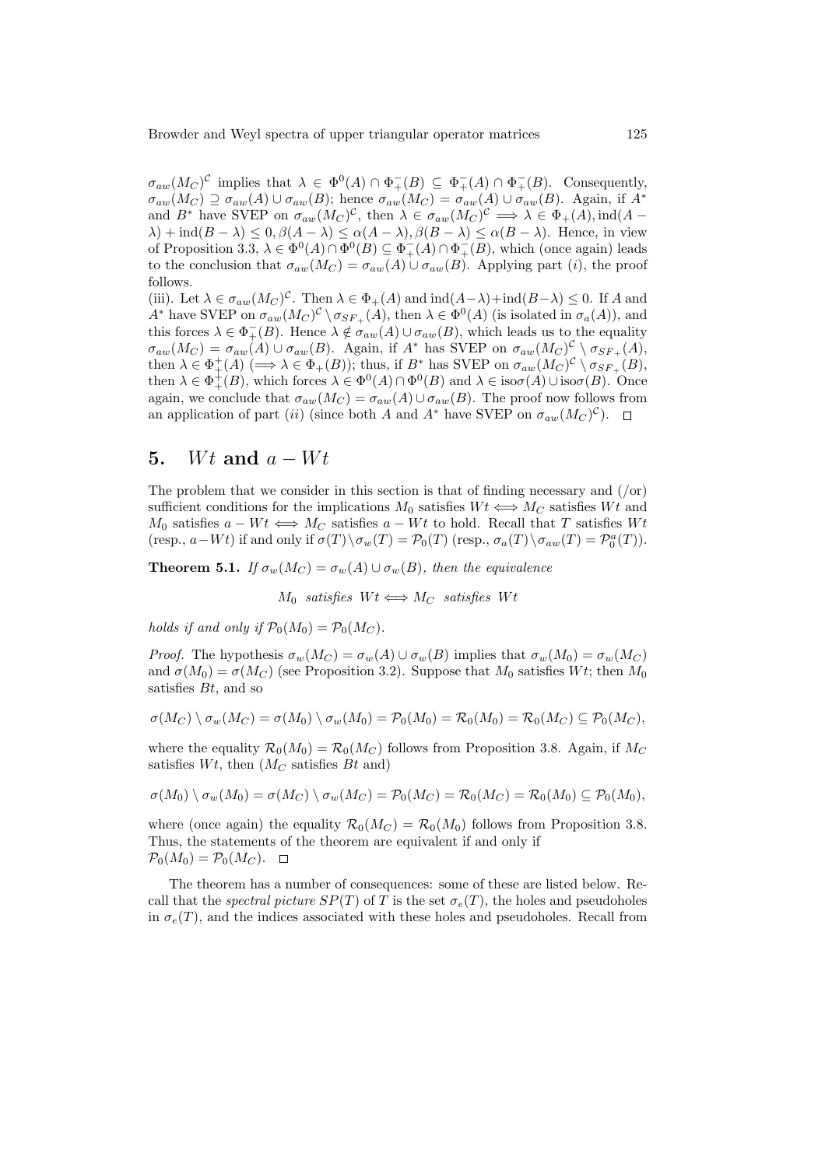$\sigma_{aw}(M_C)^{\mathcal{C}}$  implies that  $\lambda \in \Phi^0(A) \cap \Phi_+^-(B) \subseteq \Phi_+^-(A) \cap \Phi_+^-(B)$ . Consequently,  $\sigma_{aw}(M_C) \supseteq \sigma_{aw}(A) \cup \sigma_{aw}(B)$ ; hence  $\sigma_{aw}(M_C) = \sigma_{aw}(A) \cup \sigma_{aw}(B)$ . Again, if  $A^*$ and B<sup>\*</sup> have SVEP on  $\sigma_{aw}(M_C)^C$ , then  $\lambda \in \sigma_{aw}(M_C)^C \implies \lambda \in \Phi_+(A)$ , ind(A –  $\lambda$ ) + ind( $B - \lambda$ )  $\leq 0$ ,  $\beta(A - \lambda) \leq \alpha(A - \lambda)$ ,  $\beta(B - \lambda) \leq \alpha(B - \lambda)$ . Hence, in view of Proposition 3.3,  $\lambda \in \Phi^0(A) \cap \Phi^0(B) \subseteq \Phi_+^-(A) \cap \Phi_+^-(B)$ , which (once again) leads to the conclusion that  $\sigma_{aw}(M_C) = \sigma_{aw}(A) \cup \sigma_{aw}(B)$ . Applying part (i), the proof follows.

(iii). Let  $\lambda \in \sigma_{aw}(M_C)^C$ . Then  $\lambda \in \Phi_+(A)$  and  $\text{ind}(A-\lambda)+\text{ind}(B-\lambda) \leq 0$ . If A and A<sup>\*</sup> have SVEP on  $\sigma_{aw}(M_C)^C \setminus \sigma_{SF_+}(A)$ , then  $\lambda \in \Phi^0(A)$  (is isolated in  $\sigma_a(A)$ ), and this forces  $\lambda \in \Phi_+^-(B)$ . Hence  $\lambda \notin \sigma_{aw}(A) \cup \sigma_{aw}(B)$ , which leads us to the equality  $\sigma_{aw}(M_C) = \sigma_{aw}(A) \cup \sigma_{aw}(B)$ . Again, if  $A^*$  has SVEP on  $\sigma_{aw}(M_C)^C \setminus \sigma_{SF_+}(A)$ , then  $\lambda \in \Phi_+^+(A) \;(\Longrightarrow \lambda \in \Phi_+(B))$ ; thus, if  $B^*$  has SVEP on  $\sigma_{aw}(M_C)^C \setminus \sigma_{SF_+}(B)$ , then  $\lambda \in \Phi_+^+(B)$ , which forces  $\lambda \in \Phi^0(A) \cap \Phi^0(B)$  and  $\lambda \in \text{iso}\sigma(A) \cup \text{iso}\sigma(B)$ . Once again, we conclude that  $\sigma_{aw}(M_C) = \sigma_{aw}(A) \cup \sigma_{aw}(B)$ . The proof now follows from an application of part (ii) (since both A and A<sup>\*</sup> have SVEP on  $\sigma_{aw}(M_C)^C$ ).

# 5. Wt and  $a - Wt$

The problem that we consider in this section is that of finding necessary and  $($ /or) sufficient conditions for the implications  $M_0$  satisfies  $Wt \iff M_C$  satisfies Wt and  $M_0$  satisfies  $a - Wt \iff M_C$  satisfies  $a - Wt$  to hold. Recall that T satisfies Wt (resp.,  $a-Wt$ ) if and only if  $\sigma(T) \setminus \sigma_w(T) = \mathcal{P}_0(T)$  (resp.,  $\sigma_a(T) \setminus \sigma_{aw}(T) = \mathcal{P}_0^a(T)$ ).

**Theorem 5.1.** If  $\sigma_w(M_C) = \sigma_w(A) \cup \sigma_w(B)$ , then the equivalence

 $M_0$  satisfies  $Wt \Longleftrightarrow M_C$  satisfies  $Wt$ 

holds if and only if  $\mathcal{P}_0(M_0) = \mathcal{P}_0(M_C)$ .

*Proof.* The hypothesis  $\sigma_w(M_C) = \sigma_w(A) \cup \sigma_w(B)$  implies that  $\sigma_w(M_0) = \sigma_w(M_C)$ and  $\sigma(M_0) = \sigma(M_C)$  (see Proposition 3.2). Suppose that  $M_0$  satisfies Wt; then  $M_0$ satisfies  $Bt$ , and so

$$
\sigma(M_C) \setminus \sigma_w(M_C) = \sigma(M_0) \setminus \sigma_w(M_0) = \mathcal{P}_0(M_0) = \mathcal{R}_0(M_0) = \mathcal{R}_0(M_C) \subseteq \mathcal{P}_0(M_C),
$$

where the equality  $\mathcal{R}_0(M_0) = \mathcal{R}_0(M_C)$  follows from Proposition 3.8. Again, if  $M_C$ satisfies  $Wt$ , then  $(M_C \text{ satisfies } Bt \text{ and})$ 

$$
\sigma(M_0) \setminus \sigma_w(M_0) = \sigma(M_C) \setminus \sigma_w(M_C) = \mathcal{P}_0(M_C) = \mathcal{R}_0(M_C) = \mathcal{R}_0(M_0) \subseteq \mathcal{P}_0(M_0),
$$

where (once again) the equality  $\mathcal{R}_0(M_C) = \mathcal{R}_0(M_0)$  follows from Proposition 3.8. Thus, the statements of the theorem are equivalent if and only if  $\mathcal{P}_0(M_0) = \mathcal{P}_0(M_C)$ .

The theorem has a number of consequences: some of these are listed below. Recall that the spectral picture  $SP(T)$  of T is the set  $\sigma_e(T)$ , the holes and pseudoholes in  $\sigma_e(T)$ , and the indices associated with these holes and pseudoholes. Recall from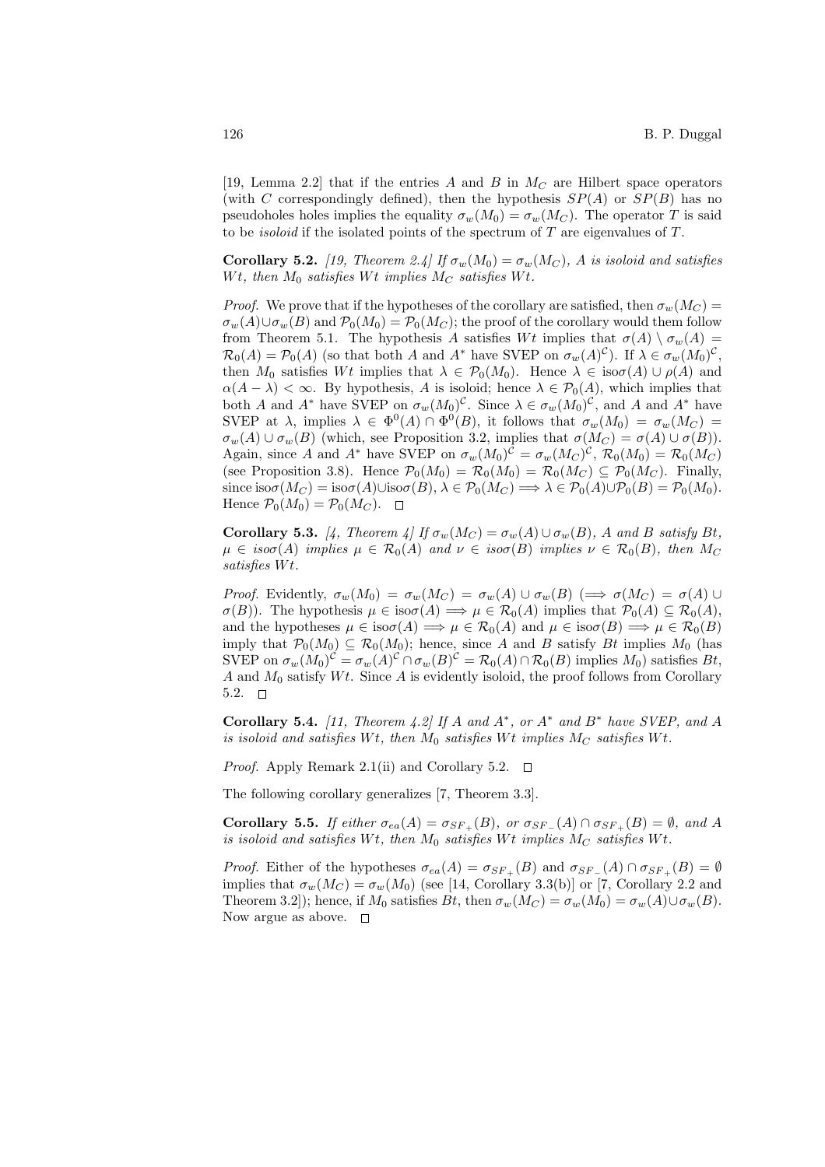[19, Lemma 2.2] that if the entries A and B in  $M_C$  are Hilbert space operators (with C correspondingly defined), then the hypothesis  $SP(A)$  or  $SP(B)$  has no pseudoholes holes implies the equality  $\sigma_w(M_0) = \sigma_w(M_C)$ . The operator T is said to be *isoloid* if the isolated points of the spectrum of  $T$  are eigenvalues of  $T$ .

**Corollary 5.2.** [19, Theorem 2.4] If  $\sigma_w(M_0) = \sigma_w(M_C)$ , A is isoloid and satisfies Wt, then  $M_0$  satisfies Wt implies  $M_C$  satisfies Wt.

*Proof.* We prove that if the hypotheses of the corollary are satisfied, then  $\sigma_w(M_C)$  $\sigma_w(A) \cup \sigma_w(B)$  and  $\mathcal{P}_0(M_0) = \mathcal{P}_0(M_C)$ ; the proof of the corollary would them follow from Theorem 5.1. The hypothesis A satisfies Wt implies that  $\sigma(A) \setminus \sigma_w(A) =$  $\mathcal{R}_0(A) = \mathcal{P}_0(A)$  (so that both A and A<sup>\*</sup> have SVEP on  $\sigma_w(A)^c$ ). If  $\lambda \in \sigma_w(M_0)^c$ , then  $M_0$  satisfies  $Wt$  implies that  $\lambda \in \mathcal{P}_0(M_0)$ . Hence  $\lambda \in \text{iso}\sigma(A) \cup \rho(A)$  and  $\alpha(A - \lambda) < \infty$ . By hypothesis, A is isoloid; hence  $\lambda \in \mathcal{P}_0(A)$ , which implies that both A and  $A^*$  have SVEP on  $\sigma_w(M_0)^c$ . Since  $\lambda \in \sigma_w(M_0)^c$ , and A and  $A^*$  have SVEP at  $\lambda$ , implies  $\lambda \in \Phi^0(A) \cap \Phi^0(B)$ , it follows that  $\sigma_w(M_0) = \sigma_w(M_C)$  $\sigma_w(A) \cup \sigma_w(B)$  (which, see Proposition 3.2, implies that  $\sigma(M_C) = \sigma(A) \cup \sigma(B)$ ). Again, since A and A<sup>\*</sup> have SVEP on  $\sigma_w(M_0)^c = \sigma_w(M_C)^c$ ,  $\mathcal{R}_0(M_0) = \mathcal{R}_0(M_C)$ (see Proposition 3.8). Hence  $\mathcal{P}_0(M_0) = \mathcal{R}_0(M_0) = \mathcal{R}_0(M_C) \subseteq \mathcal{P}_0(M_C)$ . Finally, since  $\text{iso}\sigma(M_C) = \text{iso}\sigma(A)\cup \text{iso}\sigma(B), \lambda \in \mathcal{P}_0(M_C) \Longrightarrow \lambda \in \mathcal{P}_0(A)\cup\mathcal{P}_0(B) = \mathcal{P}_0(M_0).$ Hence  $\mathcal{P}_0(M_0) = \mathcal{P}_0(M_C)$ .  $\Box$ 

**Corollary 5.3.** [4, Theorem 4] If  $\sigma_w(M_C) = \sigma_w(A) \cup \sigma_w(B)$ , A and B satisfy Bt,  $\mu \in iso\sigma(A)$  implies  $\mu \in \mathcal{R}_0(A)$  and  $\nu \in iso\sigma(B)$  implies  $\nu \in \mathcal{R}_0(B)$ , then  $M_C$ satisfies  $Wt$ .

Proof. Evidently,  $\sigma_w(M_0) = \sigma_w(M_C) = \sigma_w(A) \cup \sigma_w(B) \implies \sigma(M_C) = \sigma(A) \cup$  $\sigma(B)$ ). The hypothesis  $\mu \in \text{iso}\sigma(A) \Longrightarrow \mu \in \mathcal{R}_0(A)$  implies that  $\mathcal{P}_0(A) \subseteq \mathcal{R}_0(A)$ , and the hypotheses  $\mu \in \text{iso}\sigma(A) \Longrightarrow \mu \in \mathcal{R}_0(A)$  and  $\mu \in \text{iso}\sigma(B) \Longrightarrow \mu \in \mathcal{R}_0(B)$ imply that  $\mathcal{P}_0(M_0) \subseteq \mathcal{R}_0(M_0)$ ; hence, since A and B satisfy Bt implies  $M_0$  (has SVEP on  $\sigma_w(M_0)^c = \sigma_w(A)^c \cap \sigma_w(B)^c = \mathcal{R}_0(A) \cap \mathcal{R}_0(B)$  implies  $M_0$  satisfies  $Bt$ , A and  $M_0$  satisfy  $Wt$ . Since A is evidently isoloid, the proof follows from Corollary 5.2.  $\square$ 

Corollary 5.4. [11, Theorem 4.2] If A and  $A^*$ , or  $A^*$  and  $B^*$  have SVEP, and A is isoloid and satisfies Wt, then  $M_0$  satisfies Wt implies  $M_C$  satisfies Wt.

*Proof.* Apply Remark 2.1(ii) and Corollary 5.2.  $\Box$ 

The following corollary generalizes [7, Theorem 3.3].

Corollary 5.5. If either  $\sigma_{ea}(A) = \sigma_{SF_+}(B)$ , or  $\sigma_{SF_-}(A) \cap \sigma_{SF_+}(B) = \emptyset$ , and A is isoloid and satisfies Wt, then  $M_0$  satisfies Wt implies  $M_C$  satisfies Wt.

*Proof.* Either of the hypotheses  $\sigma_{ea}(A) = \sigma_{SF_+}(B)$  and  $\sigma_{SF_-}(A) \cap \sigma_{SF_+}(B) = \emptyset$ implies that  $\sigma_w(M_C) = \sigma_w(M_0)$  (see [14, Corollary 3.3(b)] or [7, Corollary 2.2 and Theorem 3.2]); hence, if  $M_0$  satisfies  $Bt$ , then  $\sigma_w(M_C) = \sigma_w(M_0) = \sigma_w(A) \cup \sigma_w(B)$ . Now argue as above.  $\square$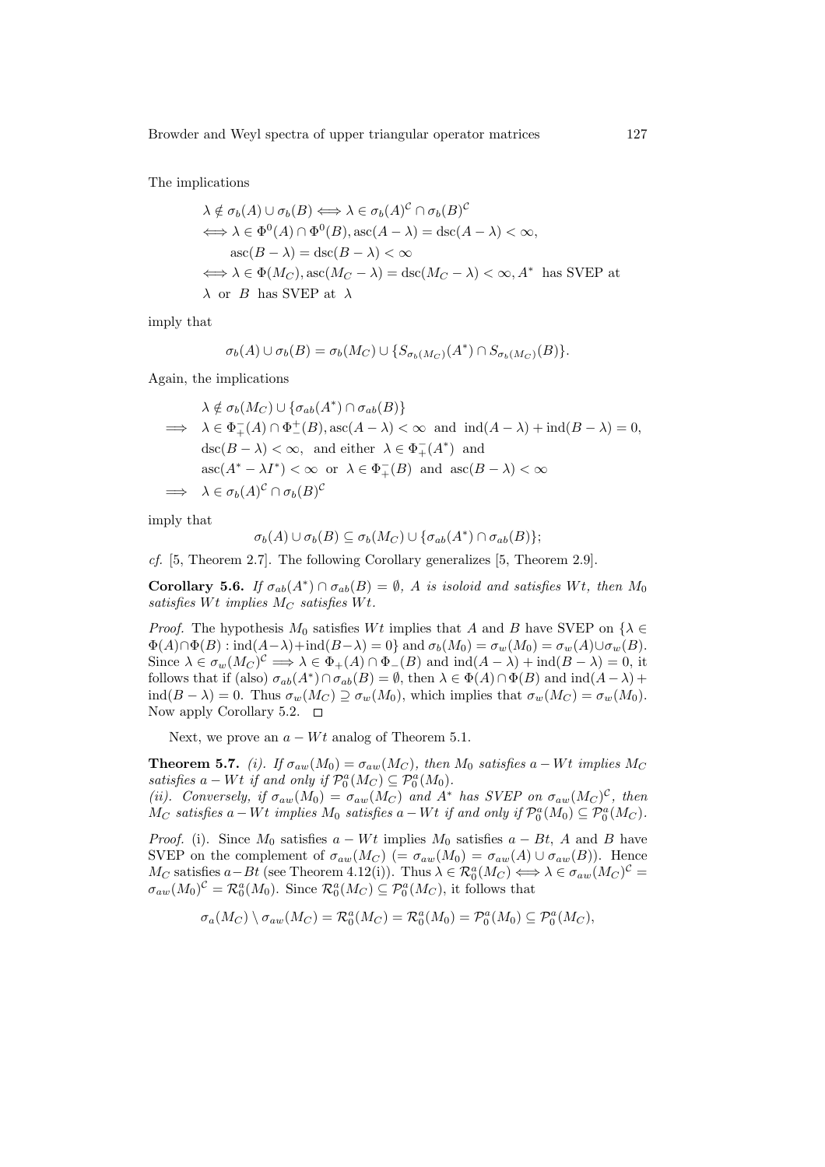The implications

$$
\lambda \notin \sigma_b(A) \cup \sigma_b(B) \iff \lambda \in \sigma_b(A)^c \cap \sigma_b(B)^c
$$
  
\n
$$
\iff \lambda \in \Phi^0(A) \cap \Phi^0(B), \operatorname{asc}(A - \lambda) = \operatorname{asc}(A - \lambda) < \infty,
$$
  
\n
$$
\operatorname{asc}(B - \lambda) = \operatorname{asc}(B - \lambda) < \infty
$$
  
\n
$$
\iff \lambda \in \Phi(M_C), \operatorname{asc}(M_C - \lambda) = \operatorname{disc}(M_C - \lambda) < \infty, A^* \text{ has SVEP at}
$$
  
\n
$$
\lambda \text{ or } B \text{ has SVEP at } \lambda
$$

imply that

$$
\sigma_b(A) \cup \sigma_b(B) = \sigma_b(M_C) \cup \{ S_{\sigma_b(M_C)}(A^*) \cap S_{\sigma_b(M_C)}(B) \}.
$$

Again, the implications

$$
\lambda \notin \sigma_b(M_C) \cup \{\sigma_{ab}(A^*) \cap \sigma_{ab}(B)\}
$$
  
\n
$$
\implies \lambda \in \Phi_+^-(A) \cap \Phi_-^+(B), \operatorname{asc}(A - \lambda) < \infty \text{ and } \operatorname{ind}(A - \lambda) + \operatorname{ind}(B - \lambda) = 0,
$$
  
\n
$$
\operatorname{asc}(B - \lambda) < \infty, \text{ and either } \lambda \in \Phi_+^-(A^*) \text{ and}
$$
  
\n
$$
\operatorname{asc}(A^* - \lambda I^*) < \infty \text{ or } \lambda \in \Phi_+^-(B) \text{ and } \operatorname{asc}(B - \lambda) < \infty
$$
  
\n
$$
\implies \lambda \in \sigma_b(A)^c \cap \sigma_b(B)^c
$$

imply that

$$
\sigma_b(A) \cup \sigma_b(B) \subseteq \sigma_b(M_C) \cup \{\sigma_{ab}(A^*) \cap \sigma_{ab}(B)\};
$$

cf. [5, Theorem 2.7]. The following Corollary generalizes [5, Theorem 2.9].

**Corollary 5.6.** If  $\sigma_{ab}(A^*) \cap \sigma_{ab}(B) = \emptyset$ , A is isoloid and satisfies Wt, then  $M_0$ satisfies Wt implies  $M_C$  satisfies Wt.

*Proof.* The hypothesis  $M_0$  satisfies Wt implies that A and B have SVEP on  $\{\lambda \in$  $\Phi(A) \cap \Phi(B)$ : ind $(A-\lambda)+\text{ind}(B-\lambda) = 0$ } and  $\sigma_b(M_0) = \sigma_w(M_0) = \sigma_w(A) \cup \sigma_w(B)$ . Since  $\lambda \in \sigma_w(M_C)^c \Longrightarrow \lambda \in \Phi_+(A) \cap \Phi_-(B)$  and  $\mathrm{ind}(A - \lambda) + \mathrm{ind}(B - \lambda) = 0$ , it follows that if (also)  $\sigma_{ab}(A^*) \cap \sigma_{ab}(B) = \emptyset$ , then  $\lambda \in \Phi(A) \cap \Phi(B)$  and  $\text{ind}(A - \lambda)$  +  $\text{ind}(B - \lambda) = 0$ . Thus  $\sigma_w(M_C) \supseteq \sigma_w(M_0)$ , which implies that  $\sigma_w(M_C) = \sigma_w(M_0)$ . Now apply Corollary 5.2.  $\Box$ 

Next, we prove an  $a - Wt$  analog of Theorem 5.1.

**Theorem 5.7.** (i). If  $\sigma_{aw}(M_0) = \sigma_{aw}(M_C)$ , then  $M_0$  satisfies a – Wt implies  $M_C$ satisfies  $a - Wt$  if and only if  $\mathcal{P}_0^a(M_C) \subseteq \mathcal{P}_0^a(M_0)$ . (ii). Conversely, if  $\sigma_{aw}(M_0) = \sigma_{aw}(M_C)$  and  $A^*$  has SVEP on  $\sigma_{aw}(M_C)^C$ , then  $\overline{M}_C$  satisfies  $a-Wt$  implies  $M_0$  satisfies  $a-Wt$  if and only if  $\mathcal{P}_0^a(M_0) \subseteq \mathcal{P}_0^a(M_C)$ .

*Proof.* (i). Since  $M_0$  satisfies  $a - Wt$  implies  $M_0$  satisfies  $a - Bt$ , A and B have SVEP on the complement of  $\sigma_{aw}(M_C)$  (=  $\sigma_{aw}(M_0) = \sigma_{aw}(A) \cup \sigma_{aw}(B)$ ). Hence  $M_C$  satisfies  $a-Bt$  (see Theorem 4.12(i)). Thus  $\lambda \in \mathcal{R}_0^a(M_C) \Longleftrightarrow \lambda \in \sigma_{aw}(M_C)^{\mathcal{C}} =$  $\sigma_{aw}(M_0)^c = \mathcal{R}_0^a(M_0)$ . Since  $\mathcal{R}_0^a(M_C) \subseteq \mathcal{P}_0^a(M_C)$ , it follows that

$$
\sigma_a(M_C) \setminus \sigma_{aw}(M_C) = \mathcal{R}_0^a(M_C) = \mathcal{R}_0^a(M_0) = \mathcal{P}_0^a(M_0) \subseteq \mathcal{P}_0^a(M_C),
$$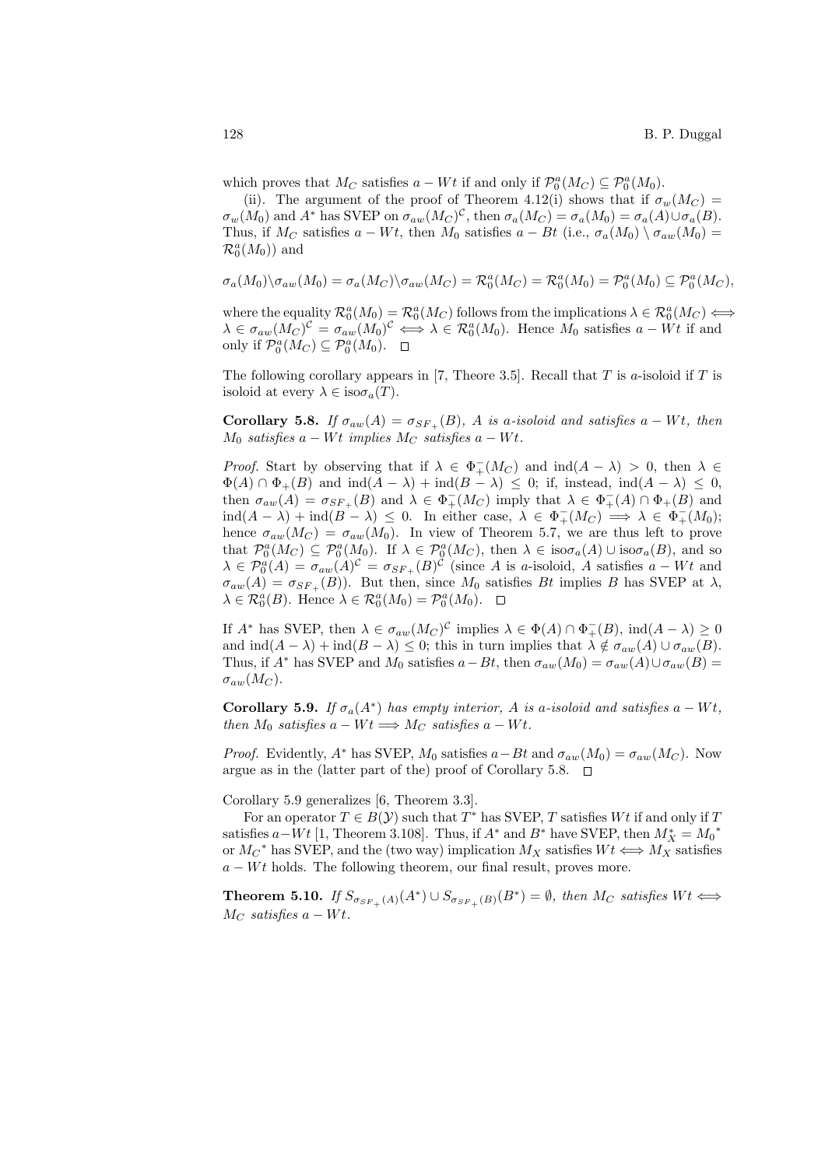which proves that  $M_C$  satisfies  $a - Wt$  if and only if  $\mathcal{P}_0^a(M_C) \subseteq \mathcal{P}_0^a(M_0)$ .

(ii). The argument of the proof of Theorem 4.12(i) shows that if  $\sigma_w(M_C)$  =  $\sigma_w(M_0)$  and  $A^*$  has SVEP on  $\sigma_{aw}(M_C)^C$ , then  $\sigma_a(M_C) = \sigma_a(M_0) = \sigma_a(A) \cup \sigma_a(B)$ . Thus, if  $M_C$  satisfies  $a - Wt$ , then  $M_0$  satisfies  $a - Bt$  (i.e.,  $\sigma_a(M_0) \setminus \sigma_{aw}(M_0) =$  $\mathcal{R}_0^a(M_0)$  and

$$
\sigma_a(M_0)\backslash \sigma_{aw}(M_0)=\sigma_a(M_C)\backslash \sigma_{aw}(M_C)=\mathcal{R}_0^a(M_C)=\mathcal{R}_0^a(M_0)=\mathcal{P}_0^a(M_0)\subseteq \mathcal{P}_0^a(M_C),
$$

where the equality  $\mathcal{R}_0^a(M_0) = \mathcal{R}_0^a(M_C)$  follows from the implications  $\lambda \in \mathcal{R}_0^a(M_C) \Longleftrightarrow$  $\lambda \in \sigma_{aw}(M_C)^c = \sigma_{aw}(M_0)^c \iff \lambda \in \mathcal{R}_0^a(M_0)$ . Hence  $M_0$  satisfies  $a - Wt$  if and only if  $\mathcal{P}_0^a(M_C) \subseteq \mathcal{P}_0^a(M_0)$ .

The following corollary appears in [7, Theore 3.5]. Recall that  $T$  is  $a$ -isoloid if  $T$  is isoloid at every  $\lambda \in \text{iso}\sigma_a(T)$ .

Corollary 5.8. If  $\sigma_{aw}(A) = \sigma_{SF+}(B)$ , A is a-isoloid and satisfies a – Wt, then  $M_0$  satisfies a – Wt implies  $M_C$  satisfies a – Wt.

*Proof.* Start by observing that if  $\lambda \in \Phi_+^-(M_C)$  and  $\text{ind}(A - \lambda) > 0$ , then  $\lambda \in$  $\Phi(A) \cap \Phi_+(B)$  and  $\text{ind}(A - \lambda) + \text{ind}(B - \lambda) \leq 0$ ; if, instead,  $\text{ind}(A - \lambda) \leq 0$ , then  $\sigma_{aw}(A) = \sigma_{SF_+}(B)$  and  $\lambda \in \Phi_+^-(M_C)$  imply that  $\lambda \in \Phi_+^-(A) \cap \Phi_+(B)$  and  $\text{ind}(A - \lambda) + \text{ind}(B - \lambda) \leq 0$ . In either case,  $\lambda \in \Phi_+^-(M_C) \implies \lambda \in \Phi_+^-(M_0)$ ; hence  $\sigma_{aw}(M_C) = \sigma_{aw}(M_0)$ . In view of Theorem 5.7, we are thus left to prove that  $\mathcal{P}_0^a(M_C) \subseteq \mathcal{P}_0^a(M_0)$ . If  $\lambda \in \mathcal{P}_0^a(M_C)$ , then  $\lambda \in \text{iso}\sigma_a(A) \cup \text{iso}\sigma_a(B)$ , and so  $\lambda \in \mathcal{P}_0^a(A) = \sigma_{aw}(A)^c = \sigma_{SF_+}(B)^c$  (since A is a-isoloid, A satisfies  $a - Wt$  and  $\sigma_{aw}(A) = \sigma_{SF_+}(B)$ . But then, since  $M_0$  satisfies Bt implies B has SVEP at  $\lambda$ ,  $\lambda \in \mathcal{R}_0^a(B)$ . Hence  $\lambda \in \mathcal{R}_0^a(M_0) = \mathcal{P}_0^a(M_0)$ .

If  $A^*$  has SVEP, then  $\lambda \in \sigma_{aw}(M_C)^C$  implies  $\lambda \in \Phi(A) \cap \Phi^-_+(B)$ ,  $\text{ind}(A - \lambda) \geq 0$ and  $\text{ind}(A - \lambda) + \text{ind}(B - \lambda) \leq 0$ ; this in turn implies that  $\lambda \notin \sigma_{aw}(A) \cup \sigma_{aw}(B)$ . Thus, if  $A^*$  has SVEP and  $M_0$  satisfies  $a-Bt$ , then  $\sigma_{aw}(M_0) = \sigma_{aw}(A) \cup \sigma_{aw}(B) =$  $\sigma_{aw}(M_C)$ .

**Corollary 5.9.** If  $\sigma_a(A^*)$  has empty interior, A is a-isoloid and satisfies  $a - Wt$ , then  $M_0$  satisfies  $a - Wt \Longrightarrow M_C$  satisfies  $a - Wt$ .

*Proof.* Evidently,  $A^*$  has SVEP,  $M_0$  satisfies  $a-Bt$  and  $\sigma_{aw}(M_0) = \sigma_{aw}(M_C)$ . Now argue as in the (latter part of the) proof of Corollary 5.8.  $\Box$ 

Corollary 5.9 generalizes [6, Theorem 3.3].

For an operator  $T \in B(Y)$  such that  $T^*$  has SVEP, T satisfies  $Wt$  if and only if T satisfies  $a-Wt$  [1, Theorem 3.108]. Thus, if  $A^*$  and  $B^*$  have SVEP, then  $M_X^* = M_0^*$ or  $M_C^*$  has SVEP, and the (two way) implication  $M_X$  satisfies  $Wt \Longleftrightarrow M_X^*$  satisfies  $a - Wt$  holds. The following theorem, our final result, proves more.

**Theorem 5.10.** If  $S_{\sigma_{SF_+}(A)}(A^*) \cup S_{\sigma_{SF_+}(B)}(B^*) = \emptyset$ , then  $M_C$  satisfies  $Wt \iff$  $M_C$  satisfies  $a - Wt$ .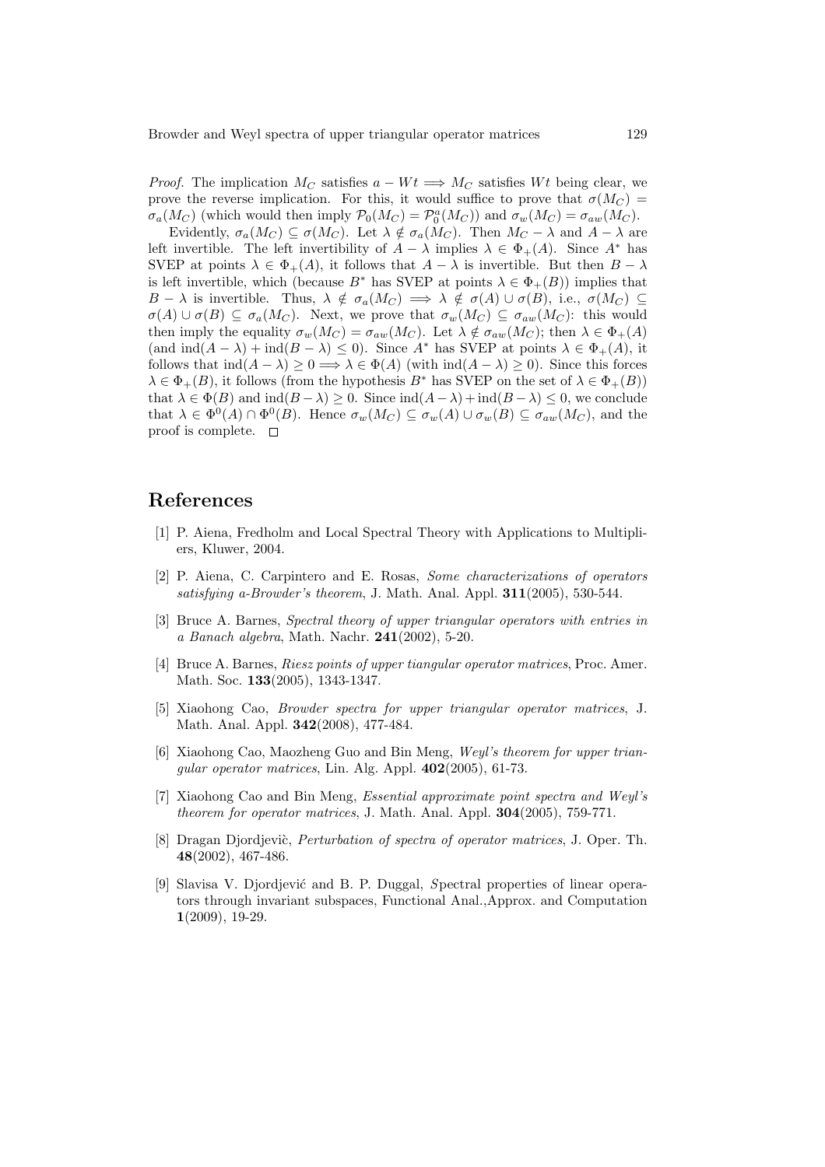*Proof.* The implication  $M_C$  satisfies  $a - Wt \Longrightarrow M_C$  satisfies Wt being clear, we prove the reverse implication. For this, it would suffice to prove that  $\sigma(M_C)$  $\sigma_a(M_C)$  (which would then imply  $\mathcal{P}_0(M_C) = \mathcal{P}_0^a(M_C)$ ) and  $\sigma_w(M_C) = \sigma_{aw}(M_C)$ .

Evidently,  $\sigma_a(M_C) \subseteq \sigma(M_C)$ . Let  $\lambda \notin \sigma_a(M_C)$ . Then  $M_C - \lambda$  and  $A - \lambda$  are left invertible. The left invertibility of  $A - \lambda$  implies  $\lambda \in \Phi_+(A)$ . Since  $A^*$  has SVEP at points  $\lambda \in \Phi_+(A)$ , it follows that  $A - \lambda$  is invertible. But then  $B - \lambda$ is left invertible, which (because  $B^*$  has SVEP at points  $\lambda \in \Phi_+(B)$ ) implies that  $B - \lambda$  is invertible. Thus,  $\lambda \notin \sigma_a(M_C) \implies \lambda \notin \sigma(A) \cup \sigma(B)$ , i.e.,  $\sigma(M_C) \subseteq$  $\sigma(A) \cup \sigma(B) \subseteq \sigma_a(M_C)$ . Next, we prove that  $\sigma_w(M_C) \subseteq \sigma_{aw}(M_C)$ : this would then imply the equality  $\sigma_w(M_C) = \sigma_{aw}(M_C)$ . Let  $\lambda \notin \sigma_{aw}(M_C)$ ; then  $\lambda \in \Phi_+(A)$ (and  $\text{ind}(A - \lambda) + \text{ind}(B - \lambda) \leq 0$ ). Since  $A^*$  has SVEP at points  $\lambda \in \Phi_+(A)$ , it follows that  $\text{ind}(A - \lambda) > 0 \Longrightarrow \lambda \in \Phi(A)$  (with  $\text{ind}(A - \lambda) > 0$ ). Since this forces  $\lambda \in \Phi_+(B)$ , it follows (from the hypothesis  $B^*$  has SVEP on the set of  $\lambda \in \Phi_+(B)$ ) that  $\lambda \in \Phi(B)$  and  $\text{ind}(B - \lambda) \geq 0$ . Since  $\text{ind}(A - \lambda) + \text{ind}(B - \lambda) \leq 0$ , we conclude that  $\lambda \in \Phi^0(A) \cap \Phi^0(B)$ . Hence  $\sigma_w(M_C) \subseteq \sigma_w(A) \cup \sigma_w(B) \subseteq \sigma_{aw}(M_C)$ , and the proof is complete.  $\square$ 

### References

- [1] P. Aiena, Fredholm and Local Spectral Theory with Applications to Multipliers, Kluwer, 2004.
- [2] P. Aiena, C. Carpintero and E. Rosas, Some characterizations of operators satisfying a-Browder's theorem, J. Math. Anal. Appl. 311(2005), 530-544.
- [3] Bruce A. Barnes, Spectral theory of upper triangular operators with entries in a Banach algebra, Math. Nachr. 241(2002), 5-20.
- [4] Bruce A. Barnes, Riesz points of upper tiangular operator matrices, Proc. Amer. Math. Soc. 133(2005), 1343-1347.
- [5] Xiaohong Cao, Browder spectra for upper triangular operator matrices, J. Math. Anal. Appl. 342(2008), 477-484.
- [6] Xiaohong Cao, Maozheng Guo and Bin Meng, Weyl's theorem for upper trianqular operator matrices, Lin. Alg. Appl.  $402(2005)$ , 61-73.
- [7] Xiaohong Cao and Bin Meng, Essential approximate point spectra and Weyl's theorem for operator matrices, J. Math. Anal. Appl. 304(2005), 759-771.
- [8] Dragan Djordjevic, *Perturbation of spectra of operator matrices*, J. Oper. Th. 48(2002), 467-486.
- [9] Slavisa V. Djordjević and B. P. Duggal, Spectral properties of linear operators through invariant subspaces, Functional Anal.,Approx. and Computation 1(2009), 19-29.